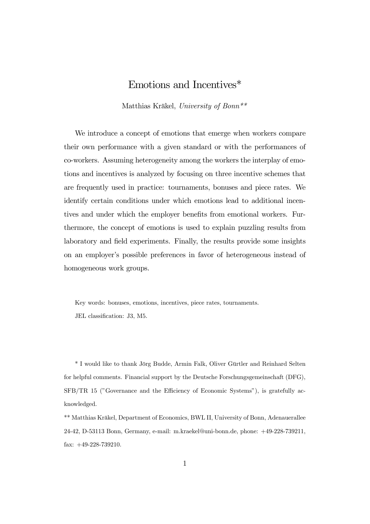## Emotions and Incentives\*

Matthias Kräkel, University of Bonn\*\*

We introduce a concept of emotions that emerge when workers compare their own performance with a given standard or with the performances of co-workers. Assuming heterogeneity among the workers the interplay of emotions and incentives is analyzed by focusing on three incentive schemes that are frequently used in practice: tournaments, bonuses and piece rates. We identify certain conditions under which emotions lead to additional incentives and under which the employer benefits from emotional workers. Furthermore, the concept of emotions is used to explain puzzling results from laboratory and field experiments. Finally, the results provide some insights on an employer's possible preferences in favor of heterogeneous instead of homogeneous work groups.

Key words: bonuses, emotions, incentives, piece rates, tournaments. JEL classification: J3, M5.

\* I would like to thank Jörg Budde, Armin Falk, Oliver Gürtler and Reinhard Selten for helpful comments. Financial support by the Deutsche Forschungsgemeinschaft (DFG), SFB/TR 15 ("Governance and the Efficiency of Economic Systems"), is gratefully acknowledged.

\*\* Matthias Kräkel, Department of Economics, BWL II, University of Bonn, Adenauerallee 24-42, D-53113 Bonn, Germany, e-mail: m.kraekel@uni-bonn.de, phone: +49-228-739211, fax: +49-228-739210.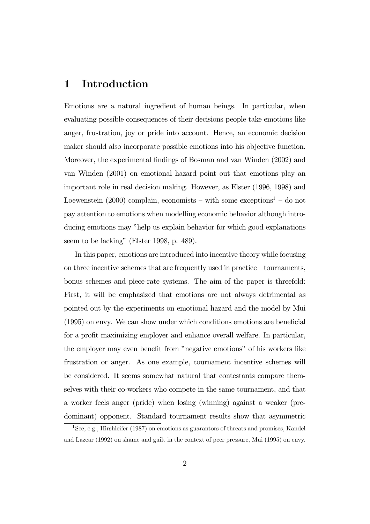## 1 Introduction

Emotions are a natural ingredient of human beings. In particular, when evaluating possible consequences of their decisions people take emotions like anger, frustration, joy or pride into account. Hence, an economic decision maker should also incorporate possible emotions into his objective function. Moreover, the experimental findings of Bosman and van Winden (2002) and van Winden (2001) on emotional hazard point out that emotions play an important role in real decision making. However, as Elster (1996, 1998) and Loewenstein  $(2000)$  complain, economists – with some exceptions<sup>1</sup> – do not pay attention to emotions when modelling economic behavior although introducing emotions may "help us explain behavior for which good explanations seem to be lacking" (Elster 1998, p. 489).

In this paper, emotions are introduced into incentive theory while focusing on three incentive schemes that are frequently used in practice — tournaments, bonus schemes and piece-rate systems. The aim of the paper is threefold: First, it will be emphasized that emotions are not always detrimental as pointed out by the experiments on emotional hazard and the model by Mui (1995) on envy. We can show under which conditions emotions are beneficial for a profit maximizing employer and enhance overall welfare. In particular, the employer may even benefit from "negative emotions" of his workers like frustration or anger. As one example, tournament incentive schemes will be considered. It seems somewhat natural that contestants compare themselves with their co-workers who compete in the same tournament, and that a worker feels anger (pride) when losing (winning) against a weaker (predominant) opponent. Standard tournament results show that asymmetric

<sup>&</sup>lt;sup>1</sup>See, e.g., Hirshleifer (1987) on emotions as guarantors of threats and promises, Kandel and Lazear (1992) on shame and guilt in the context of peer pressure, Mui (1995) on envy.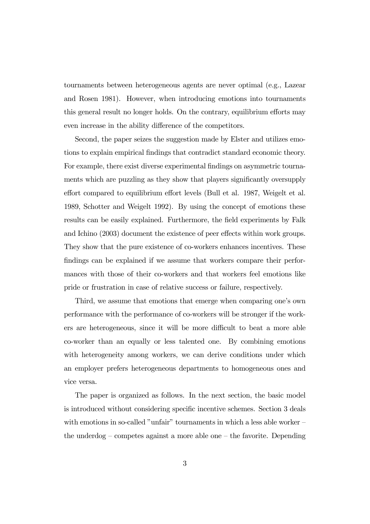tournaments between heterogeneous agents are never optimal (e.g., Lazear and Rosen 1981). However, when introducing emotions into tournaments this general result no longer holds. On the contrary, equilibrium efforts may even increase in the ability difference of the competitors.

Second, the paper seizes the suggestion made by Elster and utilizes emotions to explain empirical findings that contradict standard economic theory. For example, there exist diverse experimental findings on asymmetric tournaments which are puzzling as they show that players significantly oversupply effort compared to equilibrium effort levels (Bull et al. 1987, Weigelt et al. 1989, Schotter and Weigelt 1992). By using the concept of emotions these results can be easily explained. Furthermore, the field experiments by Falk and Ichino (2003) document the existence of peer effects within work groups. They show that the pure existence of co-workers enhances incentives. These findings can be explained if we assume that workers compare their performances with those of their co-workers and that workers feel emotions like pride or frustration in case of relative success or failure, respectively.

Third, we assume that emotions that emerge when comparing one's own performance with the performance of co-workers will be stronger if the workers are heterogeneous, since it will be more difficult to beat a more able co-worker than an equally or less talented one. By combining emotions with heterogeneity among workers, we can derive conditions under which an employer prefers heterogeneous departments to homogeneous ones and vice versa.

The paper is organized as follows. In the next section, the basic model is introduced without considering specific incentive schemes. Section 3 deals with emotions in so-called "unfair" tournaments in which a less able worker – the underdog  $-$  competes against a more able one  $-$  the favorite. Depending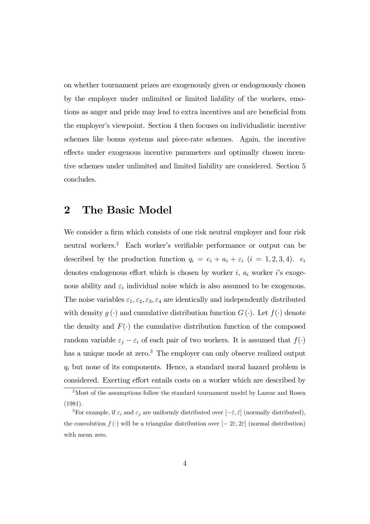on whether tournament prizes are exogenously given or endogenously chosen by the employer under unlimited or limited liability of the workers, emotions as anger and pride may lead to extra incentives and are beneficial from the employer's viewpoint. Section 4 then focuses on individualistic incentive schemes like bonus systems and piece-rate schemes. Again, the incentive effects under exogenous incentive parameters and optimally chosen incentive schemes under unlimited and limited liability are considered. Section 5 concludes.

## 2 The Basic Model

We consider a firm which consists of one risk neutral employer and four risk neutral workers.2 Each worker's verifiable performance or output can be described by the production function  $q_i = e_i + a_i + \varepsilon_i$   $(i = 1, 2, 3, 4)$ .  $e_i$ denotes endogenous effort which is chosen by worker  $i$ ,  $a_i$  worker  $i$ 's exogenous ability and  $\varepsilon_i$  individual noise which is also assumed to be exogenous. The noise variables  $\varepsilon_1, \varepsilon_2, \varepsilon_3, \varepsilon_4$  are identically and independently distributed with density  $g(\cdot)$  and cumulative distribution function  $G(\cdot)$ . Let  $f(\cdot)$  denote the density and  $F(\cdot)$  the cumulative distribution function of the composed random variable  $\varepsilon_j - \varepsilon_i$  of each pair of two workers. It is assumed that  $f(\cdot)$ has a unique mode at zero.<sup>3</sup> The employer can only observe realized output  $q_i$  but none of its components. Hence, a standard moral hazard problem is considered. Exerting effort entails costs on a worker which are described by

<sup>&</sup>lt;sup>2</sup>Most of the assumptions follow the standard tournament model by Lazear and Rosen (1981).

<sup>&</sup>lt;sup>3</sup>For example, if  $\varepsilon_i$  and  $\varepsilon_j$  are uniformly distributed over  $[-\overline{\varepsilon}, \overline{\varepsilon}]$  (normally distributed), the convolution  $f(\cdot)$  will be a triangular distribution over  $[-2\bar{\varepsilon}, 2\bar{\varepsilon}]$  (normal distribution) with mean zero.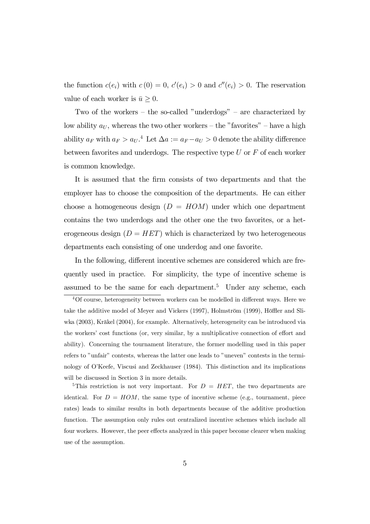the function  $c(e_i)$  with  $c(0) = 0$ ,  $c'(e_i) > 0$  and  $c''(e_i) > 0$ . The reservation value of each worker is  $\bar{u} \geq 0$ .

Two of the workers — the so-called "underdogs" — are characterized by low ability  $a_U$ , whereas the two other workers – the "favorites" – have a high ability  $a_F$  with  $a_F > a_U$ .<sup>4</sup> Let  $\Delta a := a_F - a_U > 0$  denote the ability difference between favorites and underdogs. The respective type  $U$  or  $F$  of each worker is common knowledge.

It is assumed that the firm consists of two departments and that the employer has to choose the composition of the departments. He can either choose a homogeneous design  $(D = HOM)$  under which one department contains the two underdogs and the other one the two favorites, or a heterogeneous design  $(D = HET)$  which is characterized by two heterogeneous departments each consisting of one underdog and one favorite.

In the following, different incentive schemes are considered which are frequently used in practice. For simplicity, the type of incentive scheme is assumed to be the same for each department.<sup>5</sup> Under any scheme, each

<sup>4</sup>Of course, heterogeneity between workers can be modelled in different ways. Here we take the additive model of Meyer and Vickers (1997), Holmström (1999), Höffler and Sliwka (2003), Kräkel (2004), for example. Alternatively, heterogeneity can be introduced via the workers' cost functions (or, very similar, by a multiplicative connection of effort and ability). Concerning the tournament literature, the former modelling used in this paper refers to "unfair" contests, whereas the latter one leads to "uneven" contests in the terminology of O'Keefe, Viscusi and Zeckhauser (1984). This distinction and its implications will be discussed in Section 3 in more details.

<sup>&</sup>lt;sup>5</sup>This restriction is not very important. For  $D = HET$ , the two departments are identical. For  $D = HOM$ , the same type of incentive scheme (e.g., tournament, piece rates) leads to similar results in both departments because of the additive production function. The assumption only rules out centralized incentive schemes which include all four workers. However, the peer effects analyzed in this paper become clearer when making use of the assumption.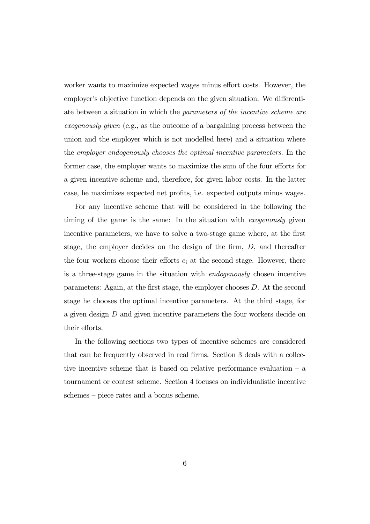worker wants to maximize expected wages minus effort costs. However, the employer's objective function depends on the given situation. We differentiate between a situation in which the parameters of the incentive scheme are exogenously given (e.g., as the outcome of a bargaining process between the union and the employer which is not modelled here) and a situation where the employer endogenously chooses the optimal incentive parameters. In the former case, the employer wants to maximize the sum of the four efforts for a given incentive scheme and, therefore, for given labor costs. In the latter case, he maximizes expected net profits, i.e. expected outputs minus wages.

For any incentive scheme that will be considered in the following the timing of the game is the same: In the situation with exogenously given incentive parameters, we have to solve a two-stage game where, at the first stage, the employer decides on the design of the firm, D, and thereafter the four workers choose their efforts  $e_i$  at the second stage. However, there is a three-stage game in the situation with endogenously chosen incentive parameters: Again, at the first stage, the employer chooses D. At the second stage he chooses the optimal incentive parameters. At the third stage, for a given design D and given incentive parameters the four workers decide on their efforts.

In the following sections two types of incentive schemes are considered that can be frequently observed in real firms. Section 3 deals with a collective incentive scheme that is based on relative performance evaluation — a tournament or contest scheme. Section 4 focuses on individualistic incentive schemes — piece rates and a bonus scheme.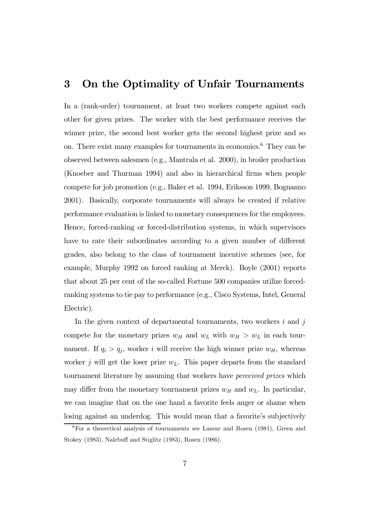## 3 On the Optimality of Unfair Tournaments

In a (rank-order) tournament, at least two workers compete against each other for given prizes. The worker with the best performance receives the winner prize, the second best worker gets the second highest prize and so on. There exist many examples for tournaments in economics.6 They can be observed between salesmen (e.g., Mantrala et al. 2000), in broiler production (Knoeber and Thurman 1994) and also in hierarchical firms when people compete for job promotion (e.g., Baker et al. 1994, Eriksson 1999, Bognanno 2001). Basically, corporate tournaments will always be created if relative performance evaluation is linked to monetary consequences for the employees. Hence, forced-ranking or forced-distribution systems, in which supervisors have to rate their subordinates according to a given number of different grades, also belong to the class of tournament incentive schemes (see, for example, Murphy 1992 on forced ranking at Merck). Boyle (2001) reports that about 25 per cent of the so-called Fortune 500 companies utilize forcedranking systems to tie pay to performance (e.g., Cisco Systems, Intel, General Electric).

In the given context of departmental tournaments, two workers  $i$  and  $j$ compete for the monetary prizes  $w_H$  and  $w_L$  with  $w_H > w_L$  in each tournament. If  $q_i > q_j$ , worker i will receive the high winner prize  $w_H$ , whereas worker j will get the loser prize  $w<sub>L</sub>$ . This paper departs from the standard tournament literature by assuming that workers have perceived prizes which may differ from the monetary tournament prizes  $w_H$  and  $w_L$ . In particular, we can imagine that on the one hand a favorite feels anger or shame when losing against an underdog. This would mean that a favorite's subjectively

<sup>6</sup>For a theoretical analysis of tournaments see Lazear and Rosen (1981), Green and Stokey (1983), Nalebuff and Stiglitz (1983), Rosen (1986).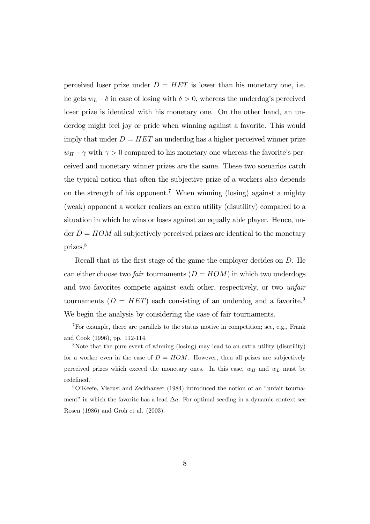perceived loser prize under  $D = HET$  is lower than his monetary one, i.e. he gets  $w_L - \delta$  in case of losing with  $\delta > 0$ , whereas the underdog's perceived loser prize is identical with his monetary one. On the other hand, an underdog might feel joy or pride when winning against a favorite. This would imply that under  $D = HET$  an underdog has a higher perceived winner prize  $w_H + \gamma$  with  $\gamma > 0$  compared to his monetary one whereas the favorite's perceived and monetary winner prizes are the same. These two scenarios catch the typical notion that often the subjective prize of a workers also depends on the strength of his opponent.<sup>7</sup> When winning (losing) against a mighty (weak) opponent a worker realizes an extra utility (disutility) compared to a situation in which he wins or loses against an equally able player. Hence, under  $D = HOM$  all subjectively perceived prizes are identical to the monetary prizes.8

Recall that at the first stage of the game the employer decides on D. He can either choose two *fair* tournaments  $(D = HOM)$  in which two underdogs and two favorites compete against each other, respectively, or two unfair tournaments  $(D = HET)$  each consisting of an underdog and a favorite.<sup>9</sup> We begin the analysis by considering the case of fair tournaments.

 $7\,\text{For example, there are parallels to the status motive in competition; see, e.g., Frank}$ and Cook (1996), pp. 112-114.

<sup>&</sup>lt;sup>8</sup>Note that the pure event of winning (losing) may lead to an extra utility (disutility) for a worker even in the case of  $D = HOM$ . However, then all prizes are subjectively perceived prizes which exceed the monetary ones. In this case,  $w_H$  and  $w_L$  must be redefined.

<sup>9</sup>O'Keefe, Viscusi and Zeckhauser (1984) introduced the notion of an "unfair tournament" in which the favorite has a lead  $\Delta a$ . For optimal seeding in a dynamic context see Rosen (1986) and Groh et al. (2003).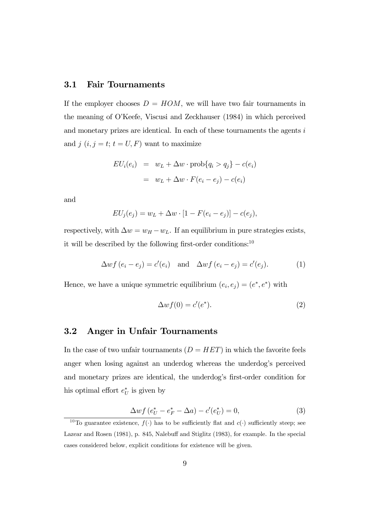### 3.1 Fair Tournaments

If the employer chooses  $D = HOM$ , we will have two fair tournaments in the meaning of O'Keefe, Viscusi and Zeckhauser (1984) in which perceived and monetary prizes are identical. In each of these tournaments the agents  $i$ and  $j$   $(i, j = t; t = U, F)$  want to maximize

$$
EU_i(e_i) = w_L + \Delta w \cdot \text{prob}\{q_i > q_j\} - c(e_i)
$$

$$
= w_L + \Delta w \cdot F(e_i - e_j) - c(e_i)
$$

and

$$
EU_j(e_j) = w_L + \Delta w \cdot [1 - F(e_i - e_j)] - c(e_j),
$$

respectively, with  $\Delta w = w_H - w_L$ . If an equilibrium in pure strategies exists, it will be described by the following first-order conditions: $^{10}$ 

$$
\Delta wf(e_i - e_j) = c'(e_i) \quad \text{and} \quad \Delta wf(e_i - e_j) = c'(e_j). \tag{1}
$$

Hence, we have a unique symmetric equilibrium  $(e_i, e_j) = (e^*, e^*)$  with

$$
\Delta wf(0) = c'(e^*). \tag{2}
$$

### 3.2 Anger in Unfair Tournaments

In the case of two unfair tournaments  $(D = HET)$  in which the favorite feels anger when losing against an underdog whereas the underdog's perceived and monetary prizes are identical, the underdog's first-order condition for his optimal effort  $e^*$  is given by

$$
\Delta wf\left(e_U^* - e_F^* - \Delta a\right) - c'(e_U^*) = 0,\tag{3}
$$

<sup>&</sup>lt;sup>10</sup>To guarantee existence,  $f(\cdot)$  has to be sufficiently flat and  $c(\cdot)$  sufficiently steep; see Lazear and Rosen (1981), p. 845, Nalebuff and Stiglitz (1983), for example. In the special cases considered below, explicit conditions for existence will be given.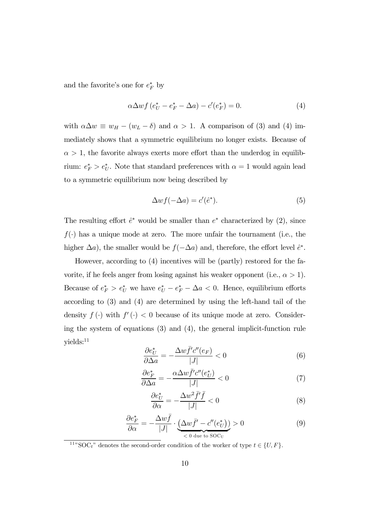and the favorite's one for  $e_F^*$  by

$$
\alpha \Delta wf \left(e_U^* - e_F^* - \Delta a\right) - c'(e_F^*) = 0. \tag{4}
$$

with  $\alpha \Delta w \equiv w_H - (w_L - \delta)$  and  $\alpha > 1$ . A comparison of (3) and (4) immediately shows that a symmetric equilibrium no longer exists. Because of  $\alpha > 1$ , the favorite always exerts more effort than the underdog in equilibrium:  $e_F^* > e_U^*$ . Note that standard preferences with  $\alpha = 1$  would again lead to a symmetric equilibrium now being described by

$$
\Delta wf(-\Delta a) = c'(\hat{e}^*). \tag{5}
$$

The resulting effort  $\hat{e}^*$  would be smaller than  $e^*$  characterized by (2), since  $f(\cdot)$  has a unique mode at zero. The more unfair the tournament (i.e., the higher  $\Delta a$ ), the smaller would be  $f(-\Delta a)$  and, therefore, the effort level  $\hat{e}^*$ .

However, according to (4) incentives will be (partly) restored for the favorite, if he feels anger from losing against his weaker opponent (i.e.,  $\alpha > 1$ ). Because of  $e_F^* > e_U^*$  we have  $e_U^* - e_F^* - \Delta a < 0$ . Hence, equilibrium efforts according to (3) and (4) are determined by using the left-hand tail of the density  $f(\cdot)$  with  $f'(\cdot) < 0$  because of its unique mode at zero. Considering the system of equations (3) and (4), the general implicit-function rule  $yields:$ <sup>11</sup>

$$
\frac{\partial e_U^*}{\partial \Delta a} = -\frac{\Delta w \bar{f}' c''(e_F)}{|J|} < 0 \tag{6}
$$

$$
\frac{\partial e_F^*}{\partial \Delta a} = -\frac{\alpha \Delta w \bar{f}' c''(e_U^*)}{|J|} < 0 \tag{7}
$$

$$
\frac{\partial e_U^*}{\partial \alpha} = -\frac{\Delta w^2 \bar{f}' \bar{f}}{|J|} < 0 \tag{8}
$$

$$
\frac{\partial e_F^*}{\partial \alpha} = -\frac{\Delta w \bar{f}}{|J|} \cdot \underbrace{(\Delta w \bar{f}' - c''(e_U^*))}_{\langle 0 \text{ due to } \text{SOC}_U} > 0 \tag{9}
$$

<sup>11</sup>"SOC<sub>t</sub>" denotes the second-order condition of the worker of type  $t \in \{U, F\}$ .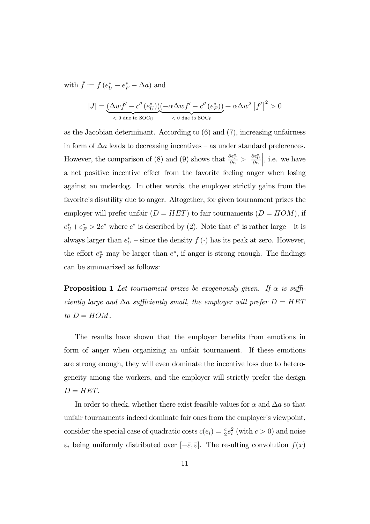with  $\bar{f} := f(e^*_{U} - e^*_{F} - \Delta a)$  and

$$
|J| = \underbrace{(\Delta w \bar{f}' - c''(e_U^*))}_{\text{< 0 due to SOC_U}} \underbrace{(-\alpha \Delta w \bar{f}' - c''(e_F^*))}_{\text{< 0 due to SOC_F}} + \alpha \Delta w^2 \left[\bar{f}'\right]^2 > 0
$$

as the Jacobian determinant. According to (6) and (7), increasing unfairness in form of  $\Delta a$  leads to decreasing incentives – as under standard preferences. However, the comparison of (8) and (9) shows that  $\frac{\partial e_F^*}{\partial \alpha} >$  $\frac{\partial e_U^*}{\partial \alpha}$  $\Big\vert$ , i.e. we have a net positive incentive effect from the favorite feeling anger when losing against an underdog. In other words, the employer strictly gains from the favorite's disutility due to anger. Altogether, for given tournament prizes the employer will prefer unfair  $(D = HET)$  to fair tournaments  $(D = HOM)$ , if  $e^*_{U} + e^*_{F} > 2e^*$  where  $e^*$  is described by (2). Note that  $e^*$  is rather large – it is always larger than  $e^*_{U}$  – since the density  $f(\cdot)$  has its peak at zero. However, the effort  $e_F^*$  may be larger than  $e^*$ , if anger is strong enough. The findings can be summarized as follows:

**Proposition 1** Let tournament prizes be exogenously given. If  $\alpha$  is sufficiently large and  $\Delta a$  sufficiently small, the employer will prefer  $D = HET$ to  $D = HOM$ .

The results have shown that the employer benefits from emotions in form of anger when organizing an unfair tournament. If these emotions are strong enough, they will even dominate the incentive loss due to heterogeneity among the workers, and the employer will strictly prefer the design  $D = HET$ .

In order to check, whether there exist feasible values for  $\alpha$  and  $\Delta a$  so that unfair tournaments indeed dominate fair ones from the employer's viewpoint, consider the special case of quadratic costs  $c(e_i) = \frac{c}{2}e_i^2$  (with  $c > 0$ ) and noise  $\varepsilon_i$  being uniformly distributed over  $[-\overline{\varepsilon}, \overline{\varepsilon}]$ . The resulting convolution  $f(x)$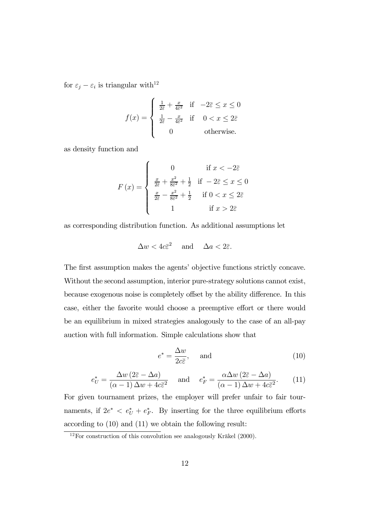for  $\varepsilon_j - \varepsilon_i$  is triangular with<sup>12</sup>

$$
f(x) = \begin{cases} \frac{1}{2\bar{\varepsilon}} + \frac{x}{4\bar{\varepsilon}^2} & \text{if } -2\bar{\varepsilon} \le x \le 0\\ \frac{1}{2\bar{\varepsilon}} - \frac{x}{4\bar{\varepsilon}^2} & \text{if } 0 < x \le 2\bar{\varepsilon}\\ 0 & \text{otherwise.} \end{cases}
$$

as density function and

$$
F(x) = \begin{cases} 0 & \text{if } x < -2\overline{\varepsilon} \\ \frac{x}{2\overline{\varepsilon}} + \frac{x^2}{8\overline{\varepsilon}^2} + \frac{1}{2} & \text{if } -2\overline{\varepsilon} \le x \le 0 \\ \frac{x}{2\overline{\varepsilon}} - \frac{x^2}{8\overline{\varepsilon}^2} + \frac{1}{2} & \text{if } 0 < x \le 2\overline{\varepsilon} \\ 1 & \text{if } x > 2\overline{\varepsilon} \end{cases}
$$

as corresponding distribution function. As additional assumptions let

$$
\Delta w < 4c\overline{\varepsilon}^2 \quad \text{and} \quad \Delta a < 2\overline{\varepsilon}.
$$

The first assumption makes the agents' objective functions strictly concave. Without the second assumption, interior pure-strategy solutions cannot exist, because exogenous noise is completely offset by the ability difference. In this case, either the favorite would choose a preemptive effort or there would be an equilibrium in mixed strategies analogously to the case of an all-pay auction with full information. Simple calculations show that

$$
e^* = \frac{\Delta w}{2c\bar{\varepsilon}}, \quad \text{and} \tag{10}
$$

$$
e_U^* = \frac{\Delta w \left(2\bar{z} - \Delta a\right)}{(\alpha - 1)\Delta w + 4c\bar{z}^2} \quad \text{and} \quad e_F^* = \frac{\alpha \Delta w \left(2\bar{z} - \Delta a\right)}{(\alpha - 1)\Delta w + 4c\bar{z}^2}.
$$
 (11)

For given tournament prizes, the employer will prefer unfair to fair tournaments, if  $2e^* < e^*_{U} + e^*_{F}$ . By inserting for the three equilibrium efforts according to (10) and (11) we obtain the following result:

 $12$ For construction of this convolution see analogously Kräkel (2000).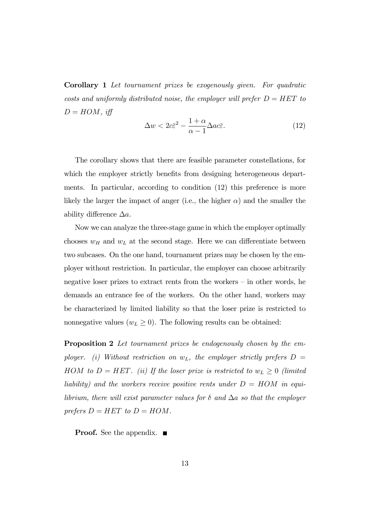Corollary 1 Let tournament prizes be exogenously given. For quadratic costs and uniformly distributed noise, the employer will prefer  $D = HET$  to  $D = HOM$ , iff

$$
\Delta w < 2c\bar{\varepsilon}^2 - \frac{1+\alpha}{\alpha - 1} \Delta ac \bar{\varepsilon}.\tag{12}
$$

The corollary shows that there are feasible parameter constellations, for which the employer strictly benefits from designing heterogeneous departments. In particular, according to condition (12) this preference is more likely the larger the impact of anger (i.e., the higher  $\alpha$ ) and the smaller the ability difference  $\Delta a$ .

Now we can analyze the three-stage game in which the employer optimally chooses  $w_H$  and  $w_L$  at the second stage. Here we can differentiate between two subcases. On the one hand, tournament prizes may be chosen by the employer without restriction. In particular, the employer can choose arbitrarily negative loser prizes to extract rents from the workers — in other words, he demands an entrance fee of the workers. On the other hand, workers may be characterized by limited liability so that the loser prize is restricted to nonnegative values  $(w_L \geq 0)$ . The following results can be obtained:

**Proposition 2** Let tournament prizes be endogenously chosen by the employer. (i) Without restriction on  $w_L$ , the employer strictly prefers  $D =$ HOM to  $D = HET$ . (ii) If the loser prize is restricted to  $w_L \geq 0$  (limited liability) and the workers receive positive rents under  $D = HOM$  in equilibrium, there will exist parameter values for  $\delta$  and  $\Delta a$  so that the employer prefers  $D = HET$  to  $D = HOM$ .

**Proof.** See the appendix. ■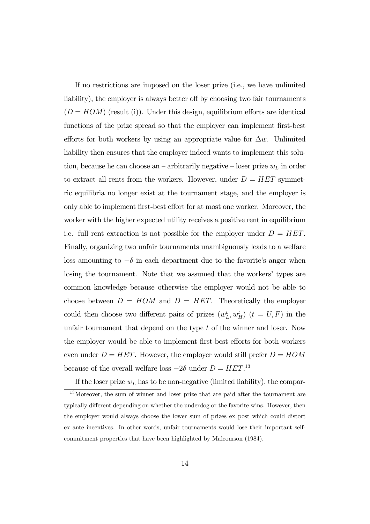If no restrictions are imposed on the loser prize (i.e., we have unlimited liability), the employer is always better off by choosing two fair tournaments  $(D = HOM)$  (result (i)). Under this design, equilibrium efforts are identical functions of the prize spread so that the employer can implement first-best efforts for both workers by using an appropriate value for  $\Delta w$ . Unlimited liability then ensures that the employer indeed wants to implement this solution, because he can choose an – arbitrarily negative – loser prize  $w<sub>L</sub>$  in order to extract all rents from the workers. However, under  $D = HET$  symmetric equilibria no longer exist at the tournament stage, and the employer is only able to implement first-best effort for at most one worker. Moreover, the worker with the higher expected utility receives a positive rent in equilibrium i.e. full rent extraction is not possible for the employer under  $D = HET$ . Finally, organizing two unfair tournaments unambiguously leads to a welfare loss amounting to  $-\delta$  in each department due to the favorite's anger when losing the tournament. Note that we assumed that the workers' types are common knowledge because otherwise the employer would not be able to choose between  $D = HOM$  and  $D = HET$ . Theoretically the employer could then choose two different pairs of prizes  $(w_L^t, w_H^t)$   $(t = U, F)$  in the unfair tournament that depend on the type  $t$  of the winner and loser. Now the employer would be able to implement first-best efforts for both workers even under  $D = HET$ . However, the employer would still prefer  $D = HOM$ because of the overall welfare loss  $-2\delta$  under  $D = HET$ <sup>13</sup>

If the loser prize  $w<sub>L</sub>$  has to be non-negative (limited liability), the compar-<sup>13</sup>Moreover, the sum of winner and loser prize that are paid after the tournament are typically different depending on whether the underdog or the favorite wins. However, then the employer would always choose the lower sum of prizes ex post which could distort ex ante incentives. In other words, unfair tournaments would lose their important selfcommitment properties that have been highlighted by Malcomson (1984).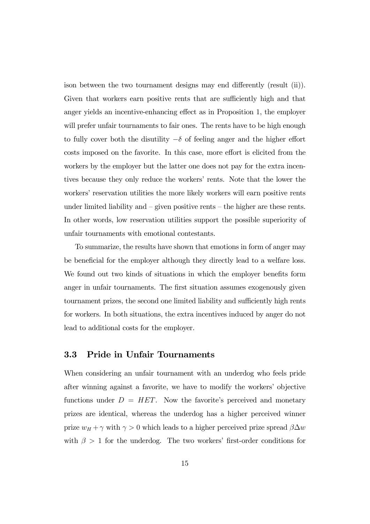ison between the two tournament designs may end differently (result (ii)). Given that workers earn positive rents that are sufficiently high and that anger yields an incentive-enhancing effect as in Proposition 1, the employer will prefer unfair tournaments to fair ones. The rents have to be high enough to fully cover both the disutility  $-\delta$  of feeling anger and the higher effort costs imposed on the favorite. In this case, more effort is elicited from the workers by the employer but the latter one does not pay for the extra incentives because they only reduce the workers' rents. Note that the lower the workers' reservation utilities the more likely workers will earn positive rents under limited liability and — given positive rents — the higher are these rents. In other words, low reservation utilities support the possible superiority of unfair tournaments with emotional contestants.

To summarize, the results have shown that emotions in form of anger may be beneficial for the employer although they directly lead to a welfare loss. We found out two kinds of situations in which the employer benefits form anger in unfair tournaments. The first situation assumes exogenously given tournament prizes, the second one limited liability and sufficiently high rents for workers. In both situations, the extra incentives induced by anger do not lead to additional costs for the employer.

## 3.3 Pride in Unfair Tournaments

When considering an unfair tournament with an underdog who feels pride after winning against a favorite, we have to modify the workers' objective functions under  $D = HET$ . Now the favorite's perceived and monetary prizes are identical, whereas the underdog has a higher perceived winner prize  $w_H + \gamma$  with  $\gamma > 0$  which leads to a higher perceived prize spread  $\beta \Delta w$ with  $\beta > 1$  for the underdog. The two workers' first-order conditions for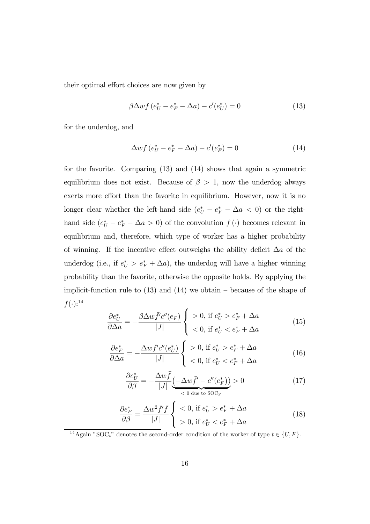their optimal effort choices are now given by

$$
\beta \Delta wf \left(e_U^* - e_F^* - \Delta a\right) - c'(e_U^*) = 0\tag{13}
$$

for the underdog, and

$$
\Delta wf\left(e_U^* - e_F^* - \Delta a\right) - c'(e_F^*) = 0\tag{14}
$$

for the favorite. Comparing (13) and (14) shows that again a symmetric equilibrium does not exist. Because of  $\beta > 1$ , now the underdog always exerts more effort than the favorite in equilibrium. However, now it is no longer clear whether the left-hand side  $(e^*_{U} - e^*_{F} - \Delta a < 0)$  or the righthand side  $(e^*_{U} - e^*_{F} - \Delta a > 0)$  of the convolution  $f(\cdot)$  becomes relevant in equilibrium and, therefore, which type of worker has a higher probability of winning. If the incentive effect outweighs the ability deficit  $\Delta a$  of the underdog (i.e., if  $e_U^* > e_F^* + \Delta a$ ), the underdog will have a higher winning probability than the favorite, otherwise the opposite holds. By applying the implicit-function rule to  $(13)$  and  $(14)$  we obtain – because of the shape of  $f(\cdot):^{14}$ 

$$
\frac{\partial e_U^*}{\partial \Delta a} = -\frac{\beta \Delta w \bar{f}' c''(e_F)}{|J|} \begin{cases} > 0, \text{ if } e_U^* > e_F^* + \Delta a \\ < 0, \text{ if } e_U^* < e_F^* + \Delta a \end{cases} \tag{15}
$$

$$
\frac{\partial e_F^*}{\partial \Delta a} = -\frac{\Delta w \bar{f}' c''(e_U^*)}{|J|} \begin{cases} > 0, \text{ if } e_U^* > e_F^* + \Delta a \\ < 0, \text{ if } e_U^* < e_F^* + \Delta a \end{cases} \tag{16}
$$

$$
\frac{\partial e_U^*}{\partial \beta} = -\frac{\Delta w \bar{f}}{|J|} \underbrace{(-\Delta w \bar{f}' - c''(e_F^*))}_{\langle 0 \text{ due to } \text{SOC}_{\text{F}}}\rangle > 0
$$
\n(17)

$$
\frac{\partial e_F^*}{\partial \beta} = \frac{\Delta w^2 \bar{f}' \bar{f}}{|J|} \begin{cases} < 0, \text{ if } e_U^* > e_F^* + \Delta a \\ > 0, \text{ if } e_U^* < e_F^* + \Delta a \end{cases} \tag{18}
$$

<sup>14</sup>Again "SOC<sub>t</sub>" denotes the second-order condition of the worker of type  $t \in \{U, F\}$ .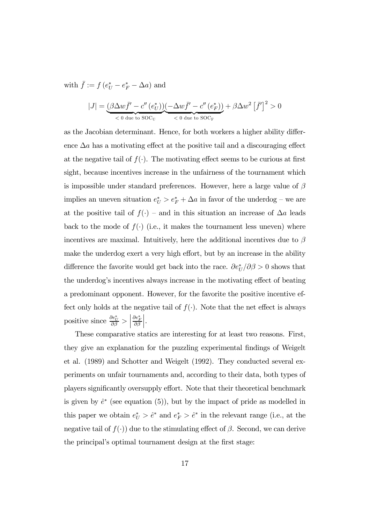with  $\bar{f} := f(e^*_{U} - e^*_{F} - \Delta a)$  and

$$
|J| = \underbrace{(\beta \Delta w \bar{f}' - c''(e_U^*))}(-\Delta w \bar{f}' - c''(e_F^*))}_{\text{< 0 due to SOC_F}} + \beta \Delta w^2 \left[\bar{f}'\right]^2 > 0
$$

as the Jacobian determinant. Hence, for both workers a higher ability difference  $\Delta a$  has a motivating effect at the positive tail and a discouraging effect at the negative tail of  $f(\cdot)$ . The motivating effect seems to be curious at first sight, because incentives increase in the unfairness of the tournament which is impossible under standard preferences. However, here a large value of  $\beta$ implies an uneven situation  $e^*_{U} > e^*_{F} + \Delta a$  in favor of the underdog – we are at the positive tail of  $f(\cdot)$  – and in this situation an increase of  $\Delta a$  leads back to the mode of  $f(\cdot)$  (i.e., it makes the tournament less uneven) where incentives are maximal. Intuitively, here the additional incentives due to  $\beta$ make the underdog exert a very high effort, but by an increase in the ability difference the favorite would get back into the race.  $\partial e^*_{U}/\partial \beta > 0$  shows that the underdog's incentives always increase in the motivating effect of beating a predominant opponent. However, for the favorite the positive incentive effect only holds at the negative tail of  $f(.)$ . Note that the net effect is always positive since  $\frac{\partial e^*_{U}}{\partial \beta} >$  $\frac{\partial e^*_F}{\partial \beta}$  $\Bigg|.$ 

These comparative statics are interesting for at least two reasons. First, they give an explanation for the puzzling experimental findings of Weigelt et al. (1989) and Schotter and Weigelt (1992). They conducted several experiments on unfair tournaments and, according to their data, both types of players significantly oversupply effort. Note that their theoretical benchmark is given by  $\hat{e}^*$  (see equation (5)), but by the impact of pride as modelled in this paper we obtain  $e^*_{U} > \hat{e}^*$  and  $e^*_{F} > \hat{e}^*$  in the relevant range (i.e., at the negative tail of  $f(\cdot)$  due to the stimulating effect of  $\beta$ . Second, we can derive the principal's optimal tournament design at the first stage: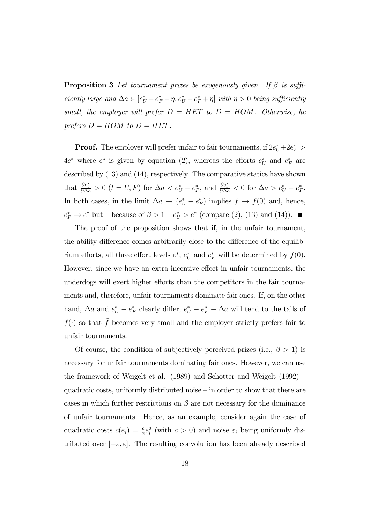**Proposition 3** Let tournament prizes be exogenously given. If  $\beta$  is sufficiently large and  $\Delta a \in [e^*_U - e^*_F - \eta, e^*_U - e^*_F + \eta]$  with  $\eta > 0$  being sufficiently small, the employer will prefer  $D = HET$  to  $D = HOM$ . Otherwise, he prefers  $D = HOM$  to  $D = HET$ .

**Proof.** The employer will prefer unfair to fair tournaments, if  $2e^*_U + 2e^*_F > 0$  $4e^*$  where  $e^*$  is given by equation (2), whereas the efforts  $e^*_{U}$  and  $e^*_{F}$  are described by (13) and (14), respectively. The comparative statics have shown that  $\frac{\partial e_t^*}{\partial \Delta a} > 0$   $(t = U, F)$  for  $\Delta a < e_U^* - e_F^*$ , and  $\frac{\partial e_t^*}{\partial \Delta a} < 0$  for  $\Delta a > e_U^* - e_F^*$ . In both cases, in the limit  $\Delta a \rightarrow (e^*_{U} - e^*_{F})$  implies  $\bar{f} \rightarrow f(0)$  and, hence,  $e_F^* \to e^*$  but – because of  $\beta > 1 - e_U^* > e^*$  (compare (2), (13) and (14)).

The proof of the proposition shows that if, in the unfair tournament, the ability difference comes arbitrarily close to the difference of the equilibrium efforts, all three effort levels  $e^*$ ,  $e^*$  and  $e^*$ <sub>F</sub> will be determined by  $f(0)$ . However, since we have an extra incentive effect in unfair tournaments, the underdogs will exert higher efforts than the competitors in the fair tournaments and, therefore, unfair tournaments dominate fair ones. If, on the other hand,  $\Delta a$  and  $e^*_{U} - e^*_{F}$  clearly differ,  $e^*_{U} - e^*_{F} - \Delta a$  will tend to the tails of  $f(\cdot)$  so that  $\bar{f}$  becomes very small and the employer strictly prefers fair to unfair tournaments.

Of course, the condition of subjectively perceived prizes (i.e.,  $\beta > 1$ ) is necessary for unfair tournaments dominating fair ones. However, we can use the framework of Weigelt et al. (1989) and Schotter and Weigelt (1992) quadratic costs, uniformly distributed noise — in order to show that there are cases in which further restrictions on  $\beta$  are not necessary for the dominance of unfair tournaments. Hence, as an example, consider again the case of quadratic costs  $c(e_i) = \frac{c}{2}e_i^2$  (with  $c > 0$ ) and noise  $\varepsilon_i$  being uniformly distributed over  $[-\bar{\varepsilon}, \bar{\varepsilon}]$ . The resulting convolution has been already described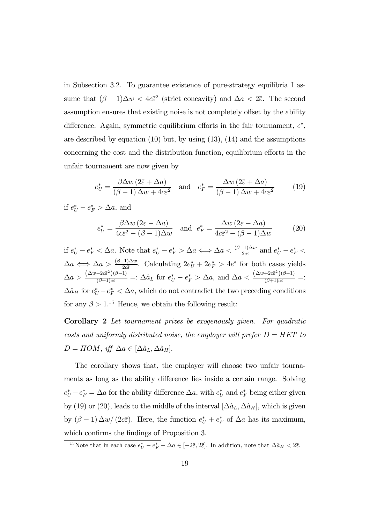in Subsection 3.2. To guarantee existence of pure-strategy equilibria I assume that  $(\beta - 1)\Delta w < 4c\bar{\varepsilon}^2$  (strict concavity) and  $\Delta a < 2\bar{\varepsilon}$ . The second assumption ensures that existing noise is not completely offset by the ability difference. Again, symmetric equilibrium efforts in the fair tournament,  $e^*$ , are described by equation  $(10)$  but, by using  $(13)$ ,  $(14)$  and the assumptions concerning the cost and the distribution function, equilibrium efforts in the unfair tournament are now given by

$$
e_U^* = \frac{\beta \Delta w \left(2\bar{\varepsilon} + \Delta a\right)}{(\beta - 1)\Delta w + 4c\bar{\varepsilon}^2} \quad \text{and} \quad e_F^* = \frac{\Delta w \left(2\bar{\varepsilon} + \Delta a\right)}{(\beta - 1)\Delta w + 4c\bar{\varepsilon}^2} \tag{19}
$$

if  $e_U^* - e_F^* > \Delta a$ , and

$$
e_U^* = \frac{\beta \Delta w \left(2\bar{\varepsilon} - \Delta a\right)}{4c\bar{\varepsilon}^2 - (\beta - 1)\Delta w} \quad \text{and} \quad e_F^* = \frac{\Delta w \left(2\bar{\varepsilon} - \Delta a\right)}{4c\bar{\varepsilon}^2 - (\beta - 1)\Delta w} \tag{20}
$$

if  $e^*_{U} - e^*_{F} < \Delta a$ . Note that  $e^*_{U} - e^*_{F} > \Delta a \Longleftrightarrow \Delta a < \frac{(\beta - 1)\Delta w}{2c\bar{\varepsilon}}$  and  $e^*_{U} - e^*_{F} < \Delta a$ .  $\Delta a \Leftrightarrow \Delta a > \frac{(\beta-1)\Delta w}{2c\bar{\varepsilon}}$ . Calculating  $2e_U^* + 2e_F^* > 4e^*$  for both cases yields  $\Delta a > \frac{(\Delta w - 2c\bar{\varepsilon}^2)(\beta - 1)}{(\beta + 1)c\bar{\varepsilon}} =: \Delta \hat{a}_L$  for  $e_U^* - e_F^* > \Delta a$ , and  $\Delta a < \frac{(\Delta w + 2c\bar{\varepsilon}^2)(\beta - 1)}{(\beta + 1)c\bar{\varepsilon}} =:$  $\Delta \hat{a}_H$  for  $e^*_U - e^*_F < \Delta a$ , which do not contradict the two preceding conditions for any  $\beta > 1$ <sup>15</sup> Hence, we obtain the following result:

Corollary 2 Let tournament prizes be exogenously given. For quadratic costs and uniformly distributed noise, the employer will prefer  $D = HET$  to  $D = HOM$ , iff  $\Delta a \in [\Delta \hat{a}_L, \Delta \hat{a}_H].$ 

The corollary shows that, the employer will choose two unfair tournaments as long as the ability difference lies inside a certain range. Solving  $e^*_{U} - e^*_{F} = \Delta a$  for the ability difference  $\Delta a$ , with  $e^*_{U}$  and  $e^*_{F}$  being either given by (19) or (20), leads to the middle of the interval  $[\Delta \hat{a}_L, \Delta \hat{a}_H]$ , which is given by  $(\beta - 1) \Delta w / (2c\bar{\varepsilon})$ . Here, the function  $e^*_{U} + e^*_{F}$  of  $\Delta a$  has its maximum, which confirms the findings of Proposition 3.

<sup>&</sup>lt;sup>15</sup>Note that in each case  $e^*_{U} - e^*_{F} - \Delta a \in [-2\bar{\varepsilon}, 2\bar{\varepsilon}]$ . In addition, note that  $\Delta \hat{a}_H < 2\bar{\varepsilon}$ .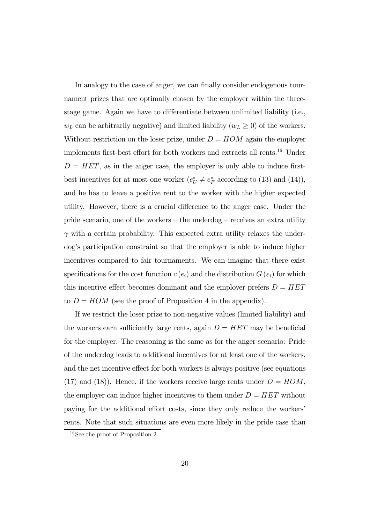In analogy to the case of anger, we can finally consider endogenous tournament prizes that are optimally chosen by the employer within the threestage game. Again we have to differentiate between unlimited liability (i.e.,  $w_L$  can be arbitrarily negative) and limited liability  $(w_L \ge 0)$  of the workers. Without restriction on the loser prize, under  $D = HOM$  again the employer implements first-best effort for both workers and extracts all rents.16 Under  $D = HET$ , as in the anger case, the employer is only able to induce firstbest incentives for at most one worker  $(e^*_U \neq e^*_F \text{ according to (13) and (14)}),$ and he has to leave a positive rent to the worker with the higher expected utility. However, there is a crucial difference to the anger case. Under the pride scenario, one of the workers — the underdog — receives an extra utility  $\gamma$  with a certain probability. This expected extra utility relaxes the underdog's participation constraint so that the employer is able to induce higher incentives compared to fair tournaments. We can imagine that there exist specifications for the cost function  $c(e_i)$  and the distribution  $G(\varepsilon_i)$  for which this incentive effect becomes dominant and the employer prefers  $D = HET$ to  $D = HOM$  (see the proof of Proposition 4 in the appendix).

If we restrict the loser prize to non-negative values (limited liability) and the workers earn sufficiently large rents, again  $D = HET$  may be beneficial for the employer. The reasoning is the same as for the anger scenario: Pride of the underdog leads to additional incentives for at least one of the workers, and the net incentive effect for both workers is always positive (see equations (17) and (18)). Hence, if the workers receive large rents under  $D = HOM$ , the employer can induce higher incentives to them under  $D = HET$  without paying for the additional effort costs, since they only reduce the workers' rents. Note that such situations are even more likely in the pride case than

<sup>16</sup>See the proof of Proposition 2.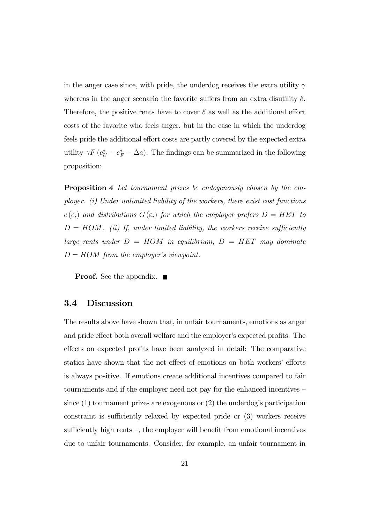in the anger case since, with pride, the underdog receives the extra utility  $\gamma$ whereas in the anger scenario the favorite suffers from an extra disutility  $\delta$ . Therefore, the positive rents have to cover  $\delta$  as well as the additional effort costs of the favorite who feels anger, but in the case in which the underdog feels pride the additional effort costs are partly covered by the expected extra utility  $\gamma F (e_U^* - e_F^* - \Delta a)$ . The findings can be summarized in the following proposition:

Proposition 4 Let tournament prizes be endogenously chosen by the employer. (i) Under unlimited liability of the workers, there exist cost functions  $c(e_i)$  and distributions  $G(\varepsilon_i)$  for which the employer prefers  $D = HET$  to  $D = HOM.$  (ii) If, under limited liability, the workers receive sufficiently large rents under  $D = HOM$  in equilibrium,  $D = HET$  may dominate  $D = HOM$  from the employer's viewpoint.

**Proof.** See the appendix. ■

### 3.4 Discussion

The results above have shown that, in unfair tournaments, emotions as anger and pride effect both overall welfare and the employer's expected profits. The effects on expected profits have been analyzed in detail: The comparative statics have shown that the net effect of emotions on both workers' efforts is always positive. If emotions create additional incentives compared to fair tournaments and if the employer need not pay for the enhanced incentives since (1) tournament prizes are exogenous or (2) the underdog's participation constraint is sufficiently relaxed by expected pride or (3) workers receive sufficiently high rents —, the employer will benefit from emotional incentives due to unfair tournaments. Consider, for example, an unfair tournament in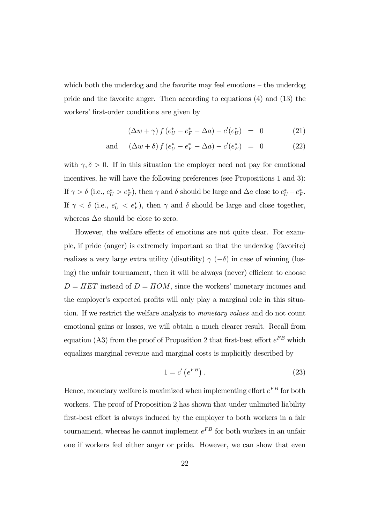which both the underdog and the favorite may feel emotions — the underdog pride and the favorite anger. Then according to equations (4) and (13) the workers' first-order conditions are given by

$$
(\Delta w + \gamma) f (e_U^* - e_F^* - \Delta a) - c'(e_U^*) = 0 \tag{21}
$$

and 
$$
(\Delta w + \delta) f (e_U^* - e_F^* - \Delta a) - c'(e_F^*) = 0
$$
 (22)

with  $\gamma, \delta > 0$ . If in this situation the employer need not pay for emotional incentives, he will have the following preferences (see Propositions 1 and 3): If  $\gamma > \delta$  (i.e.,  $e^*_{U} > e^*_{F}$ ), then  $\gamma$  and  $\delta$  should be large and  $\Delta a$  close to  $e^*_{U} - e^*_{F}$ . If  $\gamma < \delta$  (i.e.,  $e_U^* < e_F^*$ ), then  $\gamma$  and  $\delta$  should be large and close together, whereas  $\Delta a$  should be close to zero.

However, the welfare effects of emotions are not quite clear. For example, if pride (anger) is extremely important so that the underdog (favorite) realizes a very large extra utility (disutility)  $\gamma$  (−δ) in case of winning (losing) the unfair tournament, then it will be always (never) efficient to choose  $D = HET$  instead of  $D = HOM$ , since the workers' monetary incomes and the employer's expected profits will only play a marginal role in this situation. If we restrict the welfare analysis to monetary values and do not count emotional gains or losses, we will obtain a much clearer result. Recall from equation (A3) from the proof of Proposition 2 that first-best effort  $e^{FB}$  which equalizes marginal revenue and marginal costs is implicitly described by

$$
1 = c' \left( e^{FB} \right). \tag{23}
$$

Hence, monetary welfare is maximized when implementing effort  $e^{FB}$  for both workers. The proof of Proposition 2 has shown that under unlimited liability first-best effort is always induced by the employer to both workers in a fair tournament, whereas he cannot implement  $e^{FB}$  for both workers in an unfair one if workers feel either anger or pride. However, we can show that even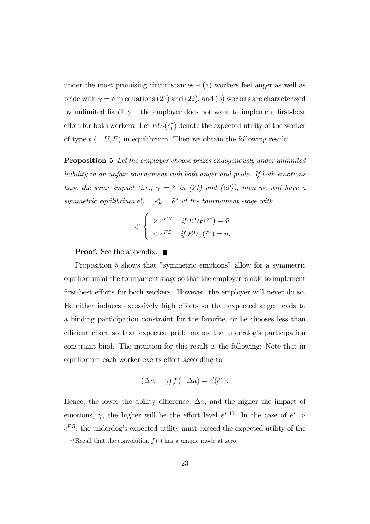under the most promising circumstances  $-$  (a) workers feel anger as well as pride with  $\gamma = \delta$  in equations (21) and (22), and (b) workers are characterized by unlimited liability — the employer does not want to implement first-best effort for both workers. Let  $EU_t(e_t^*)$  denote the expected utility of the worker of type  $t (= U, F)$  in equilibrium. Then we obtain the following result:

Proposition 5 Let the employer choose prizes endogenously under unlimited liability in an unfair tournament with both anger and pride. If both emotions have the same impact (i.e.,  $\gamma = \delta$  in (21) and (22)), then we will have a symmetric equilibrium  $e_U^* = e_F^* = \tilde{e}^*$  at the tournament stage with

$$
\tilde{e}^* \begin{cases}\n> e^{FB}, & \text{if } EU_F(\tilde{e}^*) = \bar{u} \\
< e^{FB}, & \text{if } EU_U(\tilde{e}^*) = \bar{u}.\n\end{cases}
$$

**Proof.** See the appendix. ■

Proposition 5 shows that "symmetric emotions" allow for a symmetric equilibrium at the tournament stage so that the employer is able to implement first-best efforts for both workers. However, the employer will never do so. He either induces excessively high efforts so that expected anger leads to a binding participation constraint for the favorite, or he chooses less than efficient effort so that expected pride makes the underdog's participation constraint bind. The intuition for this result is the following: Note that in equilibrium each worker exerts effort according to

$$
(\Delta w + \gamma) f(-\Delta a) = c'(\tilde{e}^*).
$$

Hence, the lower the ability difference,  $\Delta a$ , and the higher the impact of emotions,  $\gamma$ , the higher will be the effort level  $\tilde{e}^*$ <sup>17</sup>. In the case of  $\tilde{e}^*$  $e^{FB},$  the underdog's expected utility must exceed the expected utility of the

<sup>&</sup>lt;sup>17</sup>Recall that the convolution  $f(\cdot)$  has a unique mode at zero.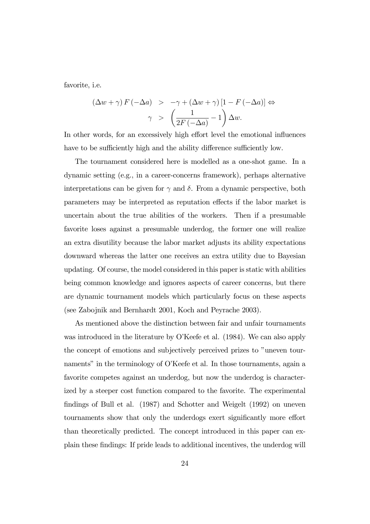favorite, i.e.

$$
(\Delta w + \gamma) F(-\Delta a) > -\gamma + (\Delta w + \gamma) [1 - F(-\Delta a)] \Leftrightarrow
$$

$$
\gamma > \left(\frac{1}{2F(-\Delta a)} - 1\right) \Delta w.
$$

In other words, for an excessively high effort level the emotional influences have to be sufficiently high and the ability difference sufficiently low.

The tournament considered here is modelled as a one-shot game. In a dynamic setting (e.g., in a career-concerns framework), perhaps alternative interpretations can be given for  $\gamma$  and  $\delta$ . From a dynamic perspective, both parameters may be interpreted as reputation effects if the labor market is uncertain about the true abilities of the workers. Then if a presumable favorite loses against a presumable underdog, the former one will realize an extra disutility because the labor market adjusts its ability expectations downward whereas the latter one receives an extra utility due to Bayesian updating. Of course, the model considered in this paper is static with abilities being common knowledge and ignores aspects of career concerns, but there are dynamic tournament models which particularly focus on these aspects (see Zabojnik and Bernhardt 2001, Koch and Peyrache 2003).

As mentioned above the distinction between fair and unfair tournaments was introduced in the literature by O'Keefe et al. (1984). We can also apply the concept of emotions and subjectively perceived prizes to "uneven tournaments" in the terminology of O'Keefe et al. In those tournaments, again a favorite competes against an underdog, but now the underdog is characterized by a steeper cost function compared to the favorite. The experimental findings of Bull et al. (1987) and Schotter and Weigelt (1992) on uneven tournaments show that only the underdogs exert significantly more effort than theoretically predicted. The concept introduced in this paper can explain these findings: If pride leads to additional incentives, the underdog will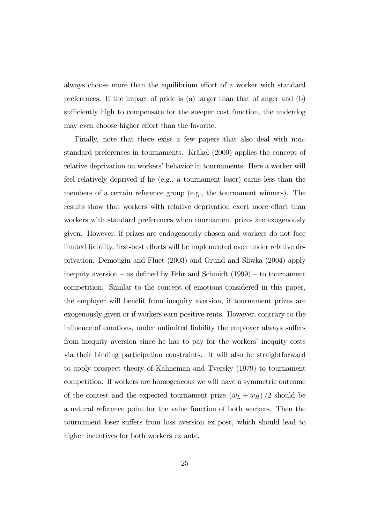always choose more than the equilibrium effort of a worker with standard preferences. If the impact of pride is (a) larger than that of anger and (b) sufficiently high to compensate for the steeper cost function, the underdog may even choose higher effort than the favorite.

Finally, note that there exist a few papers that also deal with nonstandard preferences in tournaments. Kräkel (2000) applies the concept of relative deprivation on workers' behavior in tournaments. Here a worker will feel relatively deprived if he (e.g., a tournament loser) earns less than the members of a certain reference group (e.g., the tournament winners). The results show that workers with relative deprivation exert more effort than workers with standard preferences when tournament prizes are exogenously given. However, if prizes are endogenously chosen and workers do not face limited liability, first-best efforts will be implemented even under relative deprivation. Demougin and Fluet (2003) and Grund and Sliwka (2004) apply inequity aversion — as defined by Fehr and Schmidt (1999) — to tournament competition. Similar to the concept of emotions considered in this paper, the employer will benefit from inequity aversion, if tournament prizes are exogenously given or if workers earn positive rents. However, contrary to the influence of emotions, under unlimited liability the employer always suffers from inequity aversion since he has to pay for the workers' inequity costs via their binding participation constraints. It will also be straightforward to apply prospect theory of Kahneman and Tversky (1979) to tournament competition. If workers are homogeneous we will have a symmetric outcome of the contest and the expected tournament prize  $(w_L + w_H)/2$  should be a natural reference point for the value function of both workers. Then the tournament loser suffers from loss aversion ex post, which should lead to higher incentives for both workers ex ante.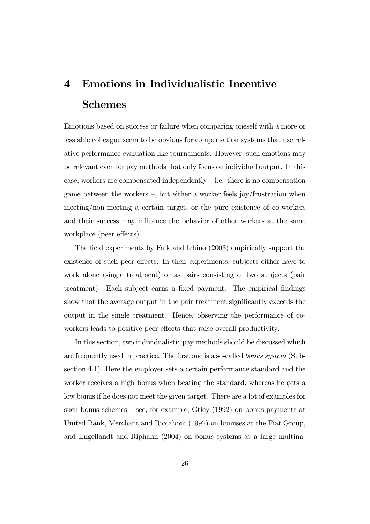# 4 Emotions in Individualistic Incentive Schemes

Emotions based on success or failure when comparing oneself with a more or less able colleague seem to be obvious for compensation systems that use relative performance evaluation like tournaments. However, such emotions may be relevant even for pay methods that only focus on individual output. In this case, workers are compensated independently  $-$  i.e. there is no compensation game between the workers  $-$ , but either a worker feels joy/frustration when meeting/non-meeting a certain target, or the pure existence of co-workers and their success may influence the behavior of other workers at the same workplace (peer effects).

The field experiments by Falk and Ichino (2003) empirically support the existence of such peer effects: In their experiments, subjects either have to work alone (single treatment) or as pairs consisting of two subjects (pair treatment). Each subject earns a fixed payment. The empirical findings show that the average output in the pair treatment significantly exceeds the output in the single treatment. Hence, observing the performance of coworkers leads to positive peer effects that raise overall productivity.

In this section, two individualistic pay methods should be discussed which are frequently used in practice. The first one is a so-called bonus system (Subsection 4.1). Here the employer sets a certain performance standard and the worker receives a high bonus when beating the standard, whereas he gets a low bonus if he does not meet the given target. There are a lot of examples for such bonus schemes — see, for example, Otley (1992) on bonus payments at United Bank, Merchant and Riccaboni (1992) on bonuses at the Fiat Group, and Engellandt and Riphahn (2004) on bonus systems at a large multina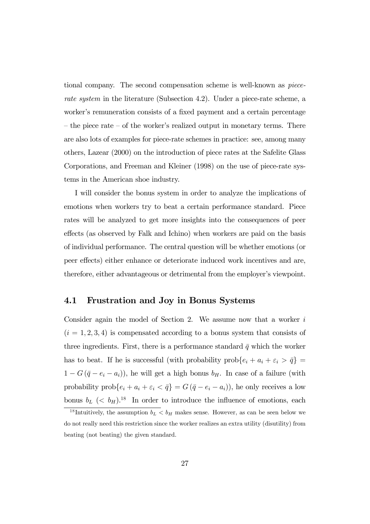tional company. The second compensation scheme is well-known as piecerate system in the literature (Subsection 4.2). Under a piece-rate scheme, a worker's remuneration consists of a fixed payment and a certain percentage — the piece rate — of the worker's realized output in monetary terms. There are also lots of examples for piece-rate schemes in practice: see, among many others, Lazear (2000) on the introduction of piece rates at the Safelite Glass Corporations, and Freeman and Kleiner (1998) on the use of piece-rate systems in the American shoe industry.

I will consider the bonus system in order to analyze the implications of emotions when workers try to beat a certain performance standard. Piece rates will be analyzed to get more insights into the consequences of peer effects (as observed by Falk and Ichino) when workers are paid on the basis of individual performance. The central question will be whether emotions (or peer effects) either enhance or deteriorate induced work incentives and are, therefore, either advantageous or detrimental from the employer's viewpoint.

### 4.1 Frustration and Joy in Bonus Systems

Consider again the model of Section 2. We assume now that a worker  $i$  $(i = 1, 2, 3, 4)$  is compensated according to a bonus system that consists of three ingredients. First, there is a performance standard  $\bar{q}$  which the worker has to beat. If he is successful (with probability  $prob\{e_i + a_i + \varepsilon_i > \bar{q}\}$  $1 - G(\bar{q} - e_i - a_i)$ , he will get a high bonus  $b_H$ . In case of a failure (with probability  $prob\{e_i + a_i + \varepsilon_i < \bar{q}\} = G(\bar{q} - e_i - a_i)$ , he only receives a low bonus  $b_L$  (<  $b_H$ ).<sup>18</sup> In order to introduce the influence of emotions, each

<sup>&</sup>lt;sup>18</sup> Intuitively, the assumption  $b_L < b_H$  makes sense. However, as can be seen below we do not really need this restriction since the worker realizes an extra utility (disutility) from beating (not beating) the given standard.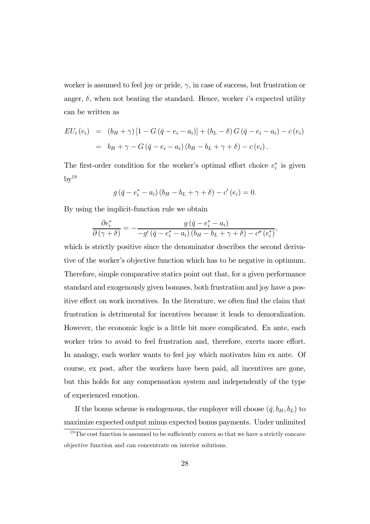worker is assumed to feel joy or pride,  $\gamma$ , in case of success, but frustration or anger,  $\delta$ , when not beating the standard. Hence, worker *i*'s expected utility can be written as

$$
EU_i(e_i) = (b_H + \gamma) [1 - G(\bar{q} - e_i - a_i)] + (b_L - \delta) G(\bar{q} - e_i - a_i) - c(e_i)
$$
  
=  $b_H + \gamma - G(\bar{q} - e_i - a_i) (b_H - b_L + \gamma + \delta) - c(e_i).$ 

The first-order condition for the worker's optimal effort choice  $e_i^*$  is given  $by<sup>19</sup>$ 

$$
g(\bar{q} - e_i^* - a_i) (b_H - b_L + \gamma + \delta) - c'(e_i) = 0.
$$

By using the implicit-function rule we obtain

$$
\frac{\partial e_i^*}{\partial (\gamma + \delta)} = -\frac{g(\bar{q} - e_i^* - a_i)}{-g'(\bar{q} - e_i^* - a_i)(b_H - b_L + \gamma + \delta) - c''(e_i^*)},
$$

which is strictly positive since the denominator describes the second derivative of the worker's objective function which has to be negative in optimum. Therefore, simple comparative statics point out that, for a given performance standard and exogenously given bonuses, both frustration and joy have a positive effect on work incentives. In the literature, we often find the claim that frustration is detrimental for incentives because it leads to demoralization. However, the economic logic is a little bit more complicated. Ex ante, each worker tries to avoid to feel frustration and, therefore, exerts more effort. In analogy, each worker wants to feel joy which motivates him ex ante. Of course, ex post, after the workers have been paid, all incentives are gone, but this holds for any compensation system and independently of the type of experienced emotion.

If the bonus scheme is endogenous, the employer will choose  $(\bar{q}, b_H, b_L)$  to maximize expected output minus expected bonus payments. Under unlimited

 $19$ The cost function is assumed to be sufficiently convex so that we have a strictly concave objective function and can concentrate on interior solutions.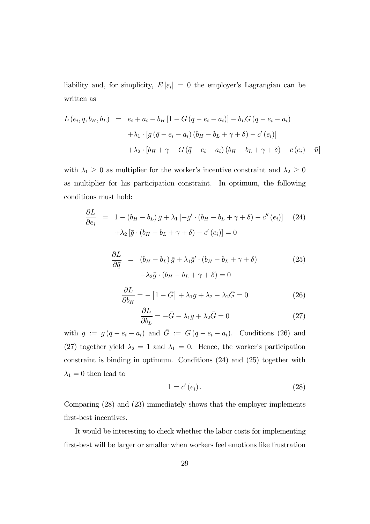liability and, for simplicity,  $E[\varepsilon_i]=0$  the employer's Lagrangian can be written as

$$
L(e_i, \bar{q}, b_H, b_L) = e_i + a_i - b_H [1 - G(\bar{q} - e_i - a_i)] - b_L G(\bar{q} - e_i - a_i)
$$
  
+  $\lambda_1 \cdot [g(\bar{q} - e_i - a_i) (b_H - b_L + \gamma + \delta) - c'(e_i)]$   
+  $\lambda_2 \cdot [b_H + \gamma - G(\bar{q} - e_i - a_i) (b_H - b_L + \gamma + \delta) - c(e_i) - \bar{u}]$ 

with  $\lambda_1 \geq 0$  as multiplier for the worker's incentive constraint and  $\lambda_2 \geq 0$ as multiplier for his participation constraint. In optimum, the following conditions must hold:

$$
\frac{\partial L}{\partial e_i} = 1 - (b_H - b_L) \bar{g} + \lambda_1 \left[ -\bar{g}' \cdot (b_H - b_L + \gamma + \delta) - c''(e_i) \right]
$$
(24)  
+ 
$$
\lambda_2 \left[ \bar{g} \cdot (b_H - b_L + \gamma + \delta) - c'(e_i) \right] = 0
$$

$$
\frac{\partial L}{\partial \bar{q}} = (b_H - b_L) \bar{g} + \lambda_1 \bar{g}' \cdot (b_H - b_L + \gamma + \delta) \n- \lambda_2 \bar{g} \cdot (b_H - b_L + \gamma + \delta) = 0
$$
\n(25)

$$
\frac{\partial L}{\partial b_H} = -[1 - \bar{G}] + \lambda_1 \bar{g} + \lambda_2 - \lambda_2 \bar{G} = 0 \tag{26}
$$

$$
\frac{\partial L}{\partial b_L} = -\bar{G} - \lambda_1 \bar{g} + \lambda_2 \bar{G} = 0 \tag{27}
$$

with  $\bar{g} := g(\bar{q} - e_i - a_i)$  and  $\bar{G} := G(\bar{q} - e_i - a_i)$ . Conditions (26) and (27) together yield  $\lambda_2 = 1$  and  $\lambda_1 = 0$ . Hence, the worker's participation constraint is binding in optimum. Conditions (24) and (25) together with  $\lambda_1=0$  then lead to

$$
1 = c'(e_i). \tag{28}
$$

Comparing (28) and (23) immediately shows that the employer implements first-best incentives.

It would be interesting to check whether the labor costs for implementing first-best will be larger or smaller when workers feel emotions like frustration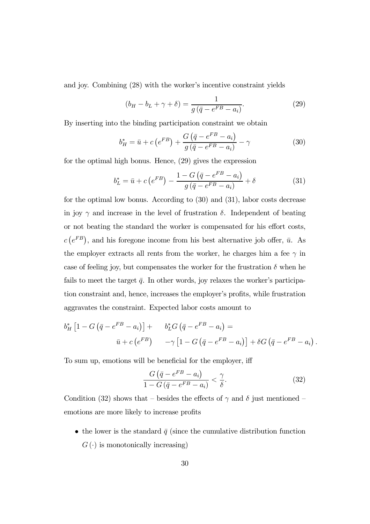and joy. Combining (28) with the worker's incentive constraint yields

$$
(b_H - b_L + \gamma + \delta) = \frac{1}{g(\bar{q} - e^{FB} - a_i)}.
$$
 (29)

By inserting into the binding participation constraint we obtain

$$
b_H^* = \bar{u} + c \left( e^{FB} \right) + \frac{G \left( \bar{q} - e^{FB} - a_i \right)}{g \left( \bar{q} - e^{FB} - a_i \right)} - \gamma \tag{30}
$$

for the optimal high bonus. Hence, (29) gives the expression

$$
b_L^* = \bar{u} + c \left( e^{FB} \right) - \frac{1 - G \left( \bar{q} - e^{FB} - a_i \right)}{g \left( \bar{q} - e^{FB} - a_i \right)} + \delta \tag{31}
$$

for the optimal low bonus. According to (30) and (31), labor costs decrease in joy  $\gamma$  and increase in the level of frustration  $\delta$ . Independent of beating or not beating the standard the worker is compensated for his effort costs,  $c(e^{FB})$ , and his foregone income from his best alternative job offer,  $\bar{u}$ . As the employer extracts all rents from the worker, he charges him a fee  $\gamma$  in case of feeling joy, but compensates the worker for the frustration  $\delta$  when he fails to meet the target  $\bar{q}$ . In other words, joy relaxes the worker's participation constraint and, hence, increases the employer's profits, while frustration aggravates the constraint. Expected labor costs amount to

$$
b_H^* \left[ 1 - G \left( \bar{q} - e^{FB} - a_i \right) \right] + b_L^* G \left( \bar{q} - e^{FB} - a_i \right) =
$$
  

$$
\bar{u} + c \left( e^{FB} \right) \qquad -\gamma \left[ 1 - G \left( \bar{q} - e^{FB} - a_i \right) \right] + \delta G \left( \bar{q} - e^{FB} - a_i \right).
$$

To sum up, emotions will be beneficial for the employer, iff

$$
\frac{G(\bar{q} - e^{FB} - a_i)}{1 - G(\bar{q} - e^{FB} - a_i)} < \frac{\gamma}{\delta}.\tag{32}
$$

Condition (32) shows that – besides the effects of  $\gamma$  and  $\delta$  just mentioned – emotions are more likely to increase profits

• the lower is the standard  $\bar{q}$  (since the cumulative distribution function  $G(\cdot)$  is monotonically increasing)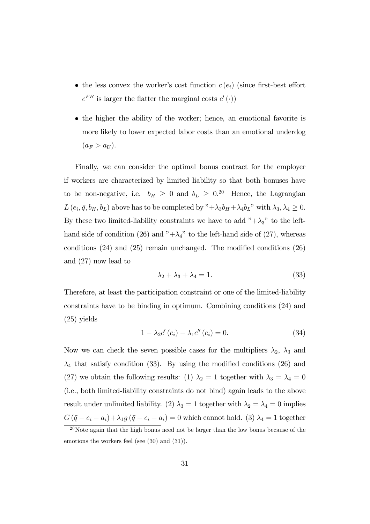- the less convex the worker's cost function  $c(e_i)$  (since first-best effort  $e^{FB}$  is larger the flatter the marginal costs  $c'(\cdot)$ )
- the higher the ability of the worker; hence, an emotional favorite is more likely to lower expected labor costs than an emotional underdog  $(a_F > a_U).$

Finally, we can consider the optimal bonus contract for the employer if workers are characterized by limited liability so that both bonuses have to be non-negative, i.e.  $b_H \geq 0$  and  $b_L \geq 0$ .<sup>20</sup> Hence, the Lagrangian  $L(e_i, \bar{q}, b_H, b_L)$  above has to be completed by " $+\lambda_3 b_H + \lambda_4 b_L$ " with  $\lambda_3, \lambda_4 \geq 0$ . By these two limited-liability constraints we have to add  $"+\lambda_3"$  to the lefthand side of condition (26) and " $+\lambda_4$ " to the left-hand side of (27), whereas conditions (24) and (25) remain unchanged. The modified conditions (26) and (27) now lead to

$$
\lambda_2 + \lambda_3 + \lambda_4 = 1. \tag{33}
$$

Therefore, at least the participation constraint or one of the limited-liability constraints have to be binding in optimum. Combining conditions (24) and (25) yields

$$
1 - \lambda_2 c' (e_i) - \lambda_1 c'' (e_i) = 0.
$$
 (34)

Now we can check the seven possible cases for the multipliers  $\lambda_2$ ,  $\lambda_3$  and  $\lambda_4$  that satisfy condition (33). By using the modified conditions (26) and (27) we obtain the following results: (1)  $\lambda_2 = 1$  together with  $\lambda_3 = \lambda_4 = 0$ (i.e., both limited-liability constraints do not bind) again leads to the above result under unlimited liability. (2)  $\lambda_3 = 1$  together with  $\lambda_2 = \lambda_4 = 0$  implies  $G(\bar{q} - e_i - a_i) + \lambda_1 g(\bar{q} - e_i - a_i) = 0$  which cannot hold. (3)  $\lambda_4 = 1$  together

 $20$ Note again that the high bonus need not be larger than the low bonus because of the emotions the workers feel (see (30) and (31)).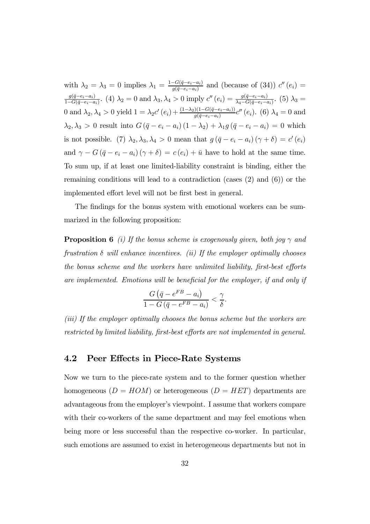with  $\lambda_2 = \lambda_3 = 0$  implies  $\lambda_1 = \frac{1 - G(\bar{q} - e_i - a_i)}{g(\bar{q} - e_i - a_i)}$  and (because of (34))  $c''(e_i) =$  $\frac{g(\bar{q}-e_i-a_i)}{1-G(\bar{q}-e_i-a_i)}$ . (4)  $\lambda_2=0$  and  $\lambda_3, \lambda_4>0$  imply  $c''(e_i)=\frac{g(\bar{q}-e_i-a_i)}{\lambda_4-G(\bar{q}-e_i-a_i)}$ . (5)  $\lambda_3=$ 0 and  $\lambda_2, \lambda_4 > 0$  yield  $1 = \lambda_2 c'(e_i) + \frac{(1-\lambda_2)(1-G(\bar{q}-e_i-e_i))}{g(\bar{q}-e_i-e_i)}c''(e_i)$ . (6)  $\lambda_4 = 0$  and  $\lambda_2, \lambda_3 > 0$  result into  $G(\bar{q} - e_i - a_i) (1 - \lambda_2) + \lambda_1 g (\bar{q} - e_i - a_i) = 0$  which is not possible. (7)  $\lambda_2, \lambda_3, \lambda_4 > 0$  mean that  $g(\bar{q} - e_i - a_i)(\gamma + \delta) = c'(e_i)$ and  $\gamma - G(\bar{q} - e_i - a_i)(\gamma + \delta) = c(e_i) + \bar{u}$  have to hold at the same time. To sum up, if at least one limited-liability constraint is binding, either the remaining conditions will lead to a contradiction (cases (2) and (6)) or the implemented effort level will not be first best in general.

The findings for the bonus system with emotional workers can be summarized in the following proposition:

**Proposition 6** (i) If the bonus scheme is exogenously given, both joy  $\gamma$  and frustration  $\delta$  will enhance incentives. (ii) If the employer optimally chooses the bonus scheme and the workers have unlimited liability, first-best efforts are implemented. Emotions will be beneficial for the employer, if and only if

$$
\frac{G(\bar{q} - e^{FB} - a_i)}{1 - G(\bar{q} - e^{FB} - a_i)} < \frac{\gamma}{\delta}.
$$

(iii) If the employer optimally chooses the bonus scheme but the workers are restricted by limited liability, first-best efforts are not implemented in general.

### 4.2 Peer Effects in Piece-Rate Systems

Now we turn to the piece-rate system and to the former question whether homogeneous  $(D = HOM)$  or heterogeneous  $(D = HET)$  departments are advantageous from the employer's viewpoint. I assume that workers compare with their co-workers of the same department and may feel emotions when being more or less successful than the respective co-worker. In particular, such emotions are assumed to exist in heterogeneous departments but not in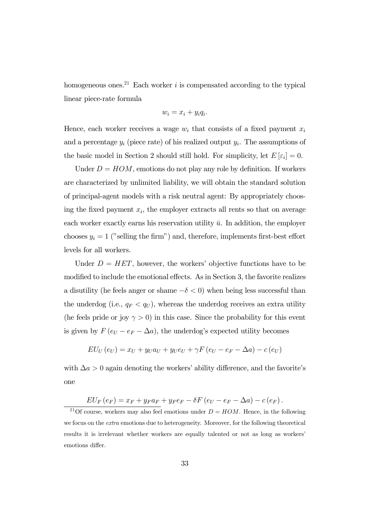homogeneous ones.<sup>21</sup> Each worker  $i$  is compensated according to the typical linear piece-rate formula

$$
w_i = x_i + y_i q_i.
$$

Hence, each worker receives a wage  $w_i$  that consists of a fixed payment  $x_i$ and a percentage  $y_i$  (piece rate) of his realized output  $y_i$ . The assumptions of the basic model in Section 2 should still hold. For simplicity, let  $E[\varepsilon_i]=0$ .

Under  $D = HOM$ , emotions do not play any role by definition. If workers are characterized by unlimited liability, we will obtain the standard solution of principal-agent models with a risk neutral agent: By appropriately choosing the fixed payment  $x_i$ , the employer extracts all rents so that on average each worker exactly earns his reservation utility  $\bar{u}$ . In addition, the employer chooses  $y_i = 1$  ("selling the firm") and, therefore, implements first-best effort levels for all workers.

Under  $D = HET$ , however, the workers' objective functions have to be modified to include the emotional effects. As in Section 3, the favorite realizes a disutility (he feels anger or shame  $-\delta < 0$ ) when being less successful than the underdog (i.e.,  $q_F < q_U$ ), whereas the underdog receives an extra utility (he feels pride or joy  $\gamma > 0$ ) in this case. Since the probability for this event is given by  $F(e_U - e_F - \Delta a)$ , the underdog's expected utility becomes

$$
EU_U(e_U) = x_U + y_U a_U + y_U e_U + \gamma F(e_U - e_F - \Delta a) - c(e_U)
$$

with  $\Delta a > 0$  again denoting the workers' ability difference, and the favorite's one

$$
EU_F(e_F) = x_F + y_F a_F + y_F e_F - \delta F(e_U - e_F - \Delta a) - c(e_F).
$$

<sup>21</sup>Of course, workers may also feel emotions under  $D = HOM$ . Hence, in the following we focus on the extra emotions due to heterogeneity. Moreover, for the following theoretical results it is irrelevant whether workers are equally talented or not as long as workers' emotions differ.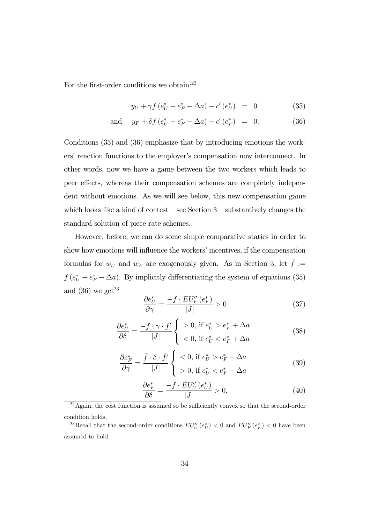For the first-order conditions we obtain:<sup>22</sup>

$$
y_U + \gamma f \left( e_U^* - e_F^* - \Delta a \right) - c' \left( e_U^* \right) = 0 \tag{35}
$$

and 
$$
y_F + \delta f (e_U^* - e_F^* - \Delta a) - c' (e_F^*) = 0.
$$
 (36)

Conditions (35) and (36) emphasize that by introducing emotions the workers' reaction functions to the employer's compensation now interconnect. In other words, now we have a game between the two workers which leads to peer effects, whereas their compensation schemes are completely independent without emotions. As we will see below, this new compensation game which looks like a kind of contest – see Section  $3$  – substantively changes the standard solution of piece-rate schemes.

However, before, we can do some simple comparative statics in order to show how emotions will influence the workers' incentives, if the compensation formulas for  $w_U$  and  $w_F$  are exogenously given. As in Section 3, let  $\bar{f} :=$  $f(e^*_{U}-e^*_{F}-\Delta a)$ . By implicitly differentiating the system of equations (35) and  $(36)$  we get<sup>23</sup>

$$
\frac{\partial e_U^*}{\partial \gamma} = \frac{-\bar{f} \cdot EU_F''(e_F^*)}{|J|} > 0 \tag{37}
$$

$$
\frac{\partial e_U^*}{\partial \delta} = \frac{-\bar{f} \cdot \gamma \cdot \bar{f}'}{|J|} \begin{cases} > 0, \text{ if } e_U^* > e_F^* + \Delta a \\ < 0, \text{ if } e_U^* < e_F^* + \Delta a \end{cases} \tag{38}
$$

$$
\frac{\partial e_F^*}{\partial \gamma} = \frac{\bar{f} \cdot \delta \cdot \bar{f}'}{|J|} \begin{cases} < 0, \text{ if } e_U^* > e_F^* + \Delta a \\ > 0, \text{ if } e_U^* < e_F^* + \Delta a \end{cases} \tag{39}
$$

$$
\frac{\partial e_F^*}{\partial \delta} = \frac{-\bar{f} \cdot EU_U''(e_U^*)}{|J|} > 0,
$$
\n(40)

 $^{22}$ Again, the cost function is assumed so be sufficiently convex so that the second-order condition holds.

<sup>&</sup>lt;sup>23</sup>Recall that the second-order conditions  $EU''_U(e^*_U) < 0$  and  $EU''_F(e^*_F) < 0$  have been assumed to hold.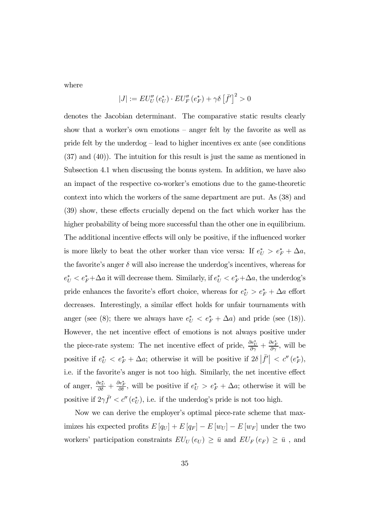where

$$
|J| := EU_U''(e_U^*) \cdot EU_F''(e_F^*) + \gamma \delta \left[\bar{f}'\right]^2 > 0
$$

denotes the Jacobian determinant. The comparative static results clearly show that a worker's own emotions — anger felt by the favorite as well as pride felt by the underdog — lead to higher incentives ex ante (see conditions (37) and (40)). The intuition for this result is just the same as mentioned in Subsection 4.1 when discussing the bonus system. In addition, we have also an impact of the respective co-worker's emotions due to the game-theoretic context into which the workers of the same department are put. As (38) and (39) show, these effects crucially depend on the fact which worker has the higher probability of being more successful than the other one in equilibrium. The additional incentive effects will only be positive, if the influenced worker is more likely to beat the other worker than vice versa: If  $e_U^* > e_F^* + \Delta a$ , the favorite's anger  $\delta$  will also increase the underdog's incentives, whereas for  $e^*_{U} < e^*_{F} + \Delta a$  it will decrease them. Similarly, if  $e^*_{U} < e^*_{F} + \Delta a$ , the underdog's pride enhances the favorite's effort choice, whereas for  $e_U^* > e_F^* + \Delta a$  effort decreases. Interestingly, a similar effect holds for unfair tournaments with anger (see (8); there we always have  $e_U^* < e_F^* + \Delta a$ ) and pride (see (18)). However, the net incentive effect of emotions is not always positive under the piece-rate system: The net incentive effect of pride,  $\frac{\partial e^*_{U}}{\partial \gamma} + \frac{\partial e^*_{F}}{\partial \gamma}$ , will be positive if  $e^*_{U} < e^*_{F} + \Delta a$ ; otherwise it will be positive if  $2\delta |\bar{f}'| < c''(e^*_{F}),$ i.e. if the favorite's anger is not too high. Similarly, the net incentive effect of anger,  $\frac{\partial e^*_{U}}{\partial \delta} + \frac{\partial e^*_{F}}{\partial \delta}$ , will be positive if  $e^*_{U} > e^*_{F} + \Delta a$ ; otherwise it will be positive if  $2\gamma \bar{f}' < c''(e^*_{U})$ , i.e. if the underdog's pride is not too high.

Now we can derive the employer's optimal piece-rate scheme that maximizes his expected profits  $E[q_U] + E[q_F] - E[w_U] - E[w_F]$  under the two workers' participation constraints  $\,EU_U\left(e_U\right)\,\geq\,\bar{u}\,$  and  $\,EU_F\left(e_F\right)\,\geq\,\bar{u}\,$  , and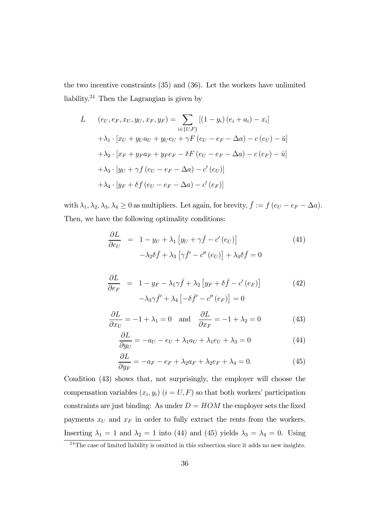the two incentive constraints (35) and (36). Let the workers have unlimited liability.24 Then the Lagrangian is given by

L 
$$
(e_U, e_F, x_U, y_U, x_F, y_F) = \sum_{i \in \{U, F\}} [(1 - y_i) (e_i + a_i) - x_i]
$$
  
\t $+ \lambda_1 \cdot [x_U + y_U a_U + y_U e_U + \gamma F (e_U - e_F - \Delta a) - c (e_U) - \bar{u}]$   
\t $+ \lambda_2 \cdot [x_F + y_F a_F + y_F e_F - \delta F (e_U - e_F - \Delta a) - c (e_F) - \bar{u}]$   
\t $+ \lambda_3 \cdot [y_U + \gamma f (e_U - e_F - \Delta a) - c' (e_U)]$   
\t $+ \lambda_4 \cdot [y_F + \delta f (e_U - e_F - \Delta a) - c' (e_F)]$ 

with  $\lambda_1, \lambda_2, \lambda_3, \lambda_4 \geq 0$  as multipliers. Let again, for brevity,  $\bar{f} := f(e_U - e_F - \Delta a)$ . Then, we have the following optimality conditions:

$$
\frac{\partial L}{\partial e_U} = 1 - y_U + \lambda_1 \left[ y_U + \gamma \bar{f} - c'(e_U) \right]
$$
\n
$$
- \lambda_2 \delta \bar{f} + \lambda_3 \left[ \gamma \bar{f}' - c''(e_U) \right] + \lambda_4 \delta \bar{f} = 0
$$
\n(41)

$$
\frac{\partial L}{\partial e_F} = 1 - y_F - \lambda_1 \gamma \bar{f} + \lambda_2 \left[ y_F + \delta \bar{f} - c'(e_F) \right]
$$
\n
$$
- \lambda_3 \gamma \bar{f}' + \lambda_4 \left[ -\delta \bar{f}' - c''(e_F) \right] = 0
$$
\n(42)

$$
\frac{\partial L}{\partial x_U} = -1 + \lambda_1 = 0 \quad \text{and} \quad \frac{\partial L}{\partial x_F} = -1 + \lambda_2 = 0 \tag{43}
$$

$$
\frac{\partial L}{\partial y_U} = -a_U - e_U + \lambda_1 a_U + \lambda_1 e_U + \lambda_3 = 0 \tag{44}
$$

$$
\frac{\partial L}{\partial y_F} = -a_F - e_F + \lambda_2 a_F + \lambda_2 e_F + \lambda_4 = 0.
$$
\n(45)

Condition (43) shows that, not surprisingly, the employer will choose the compensation variables  $(x_i, y_i)$   $(i = U, F)$  so that both workers' participation constraints are just binding: As under  $D = HOM$  the employer sets the fixed payments  $x_U$  and  $x_F$  in order to fully extract the rents from the workers. Inserting  $\lambda_1 = 1$  and  $\lambda_2 = 1$  into (44) and (45) yields  $\lambda_3 = \lambda_4 = 0$ . Using

 $24$ The case of limited liability is omitted in this subsection since it adds no new insights.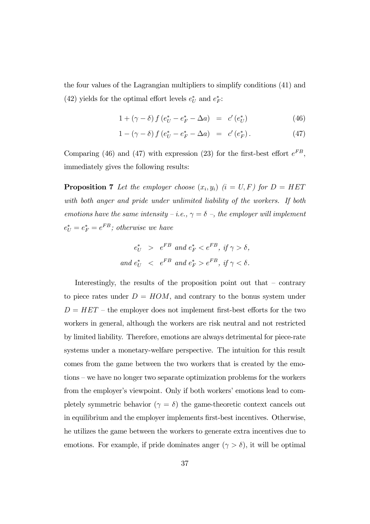the four values of the Lagrangian multipliers to simplify conditions (41) and (42) yields for the optimal effort levels  $e^*_{U}$  and  $e^*_{F}$ :

$$
1 + (\gamma - \delta) f (e_U^* - e_F^* - \Delta a) = c' (e_U^*)
$$
\n(46)

$$
1 - (\gamma - \delta) f (e_U^* - e_F^* - \Delta a) = c' (e_F^*).
$$
 (47)

Comparing (46) and (47) with expression (23) for the first-best effort  $e^{FB}$ , immediately gives the following results:

**Proposition 7** Let the employer choose  $(x_i, y_i)$  (i = U, F) for  $D = HET$ with both anger and pride under unlimited liability of the workers. If both emotions have the same intensity – i.e.,  $\gamma = \delta$  –, the employer will implement  $e^*_{U} = e^*_{F} = e^{FB}$ ; otherwise we have

$$
e_U^* > e^{FB} \text{ and } e_F^* < e^{FB}, \text{ if } \gamma > \delta,
$$
  
and 
$$
e_U^* < e^{FB} \text{ and } e_F^* > e^{FB}, \text{ if } \gamma < \delta.
$$

Interestingly, the results of the proposition point out that — contrary to piece rates under  $D = HOM$ , and contrary to the bonus system under  $D = HET$  – the employer does not implement first-best efforts for the two workers in general, although the workers are risk neutral and not restricted by limited liability. Therefore, emotions are always detrimental for piece-rate systems under a monetary-welfare perspective. The intuition for this result comes from the game between the two workers that is created by the emotions — we have no longer two separate optimization problems for the workers from the employer's viewpoint. Only if both workers' emotions lead to completely symmetric behavior  $(\gamma = \delta)$  the game-theoretic context cancels out in equilibrium and the employer implements first-best incentives. Otherwise, he utilizes the game between the workers to generate extra incentives due to emotions. For example, if pride dominates anger  $(\gamma > \delta)$ , it will be optimal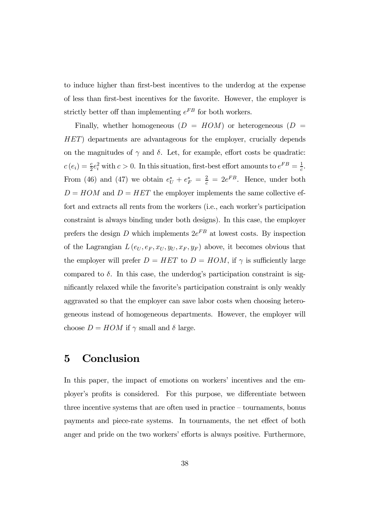to induce higher than first-best incentives to the underdog at the expense of less than first-best incentives for the favorite. However, the employer is strictly better off than implementing  $e^{FB}$  for both workers.

Finally, whether homogeneous  $(D = HOM)$  or heterogeneous  $(D = HOM)$ HET) departments are advantageous for the employer, crucially depends on the magnitudes of  $\gamma$  and  $\delta$ . Let, for example, effort costs be quadratic:  $c(e_i) = \frac{c}{2}e_i^2$  with  $c > 0$ . In this situation, first-best effort amounts to  $e^{FB} = \frac{1}{c}$ . From (46) and (47) we obtain  $e^*_{U} + e^*_{F} = \frac{2}{c} = 2e^{FB}$ . Hence, under both  $D = HOM$  and  $D = HET$  the employer implements the same collective effort and extracts all rents from the workers (i.e., each worker's participation constraint is always binding under both designs). In this case, the employer prefers the design D which implements  $2e^{FB}$  at lowest costs. By inspection of the Lagrangian  $L(e_U, e_F, x_U, y_U, x_F, y_F)$  above, it becomes obvious that the employer will prefer  $D = HET$  to  $D = HOM$ , if  $\gamma$  is sufficiently large compared to  $\delta$ . In this case, the underdog's participation constraint is significantly relaxed while the favorite's participation constraint is only weakly aggravated so that the employer can save labor costs when choosing heterogeneous instead of homogeneous departments. However, the employer will choose  $D = HOM$  if  $\gamma$  small and  $\delta$  large.

# 5 Conclusion

In this paper, the impact of emotions on workers' incentives and the employer's profits is considered. For this purpose, we differentiate between three incentive systems that are often used in practice — tournaments, bonus payments and piece-rate systems. In tournaments, the net effect of both anger and pride on the two workers' efforts is always positive. Furthermore,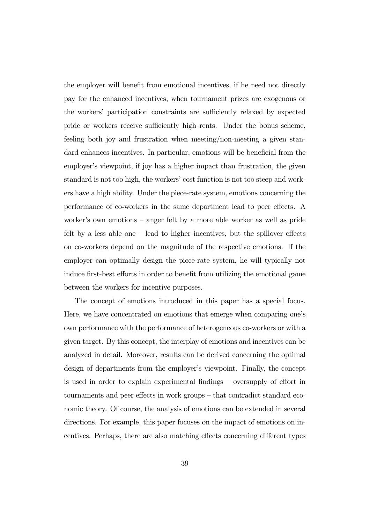the employer will benefit from emotional incentives, if he need not directly pay for the enhanced incentives, when tournament prizes are exogenous or the workers' participation constraints are sufficiently relaxed by expected pride or workers receive sufficiently high rents. Under the bonus scheme, feeling both joy and frustration when meeting/non-meeting a given standard enhances incentives. In particular, emotions will be beneficial from the employer's viewpoint, if joy has a higher impact than frustration, the given standard is not too high, the workers' cost function is not too steep and workers have a high ability. Under the piece-rate system, emotions concerning the performance of co-workers in the same department lead to peer effects. A worker's own emotions — anger felt by a more able worker as well as pride felt by a less able one — lead to higher incentives, but the spillover effects on co-workers depend on the magnitude of the respective emotions. If the employer can optimally design the piece-rate system, he will typically not induce first-best efforts in order to benefit from utilizing the emotional game between the workers for incentive purposes.

The concept of emotions introduced in this paper has a special focus. Here, we have concentrated on emotions that emerge when comparing one's own performance with the performance of heterogeneous co-workers or with a given target. By this concept, the interplay of emotions and incentives can be analyzed in detail. Moreover, results can be derived concerning the optimal design of departments from the employer's viewpoint. Finally, the concept is used in order to explain experimental findings — oversupply of effort in tournaments and peer effects in work groups — that contradict standard economic theory. Of course, the analysis of emotions can be extended in several directions. For example, this paper focuses on the impact of emotions on incentives. Perhaps, there are also matching effects concerning different types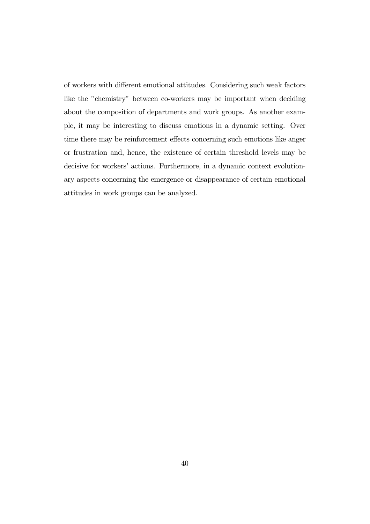of workers with different emotional attitudes. Considering such weak factors like the "chemistry" between co-workers may be important when deciding about the composition of departments and work groups. As another example, it may be interesting to discuss emotions in a dynamic setting. Over time there may be reinforcement effects concerning such emotions like anger or frustration and, hence, the existence of certain threshold levels may be decisive for workers' actions. Furthermore, in a dynamic context evolutionary aspects concerning the emergence or disappearance of certain emotional attitudes in work groups can be analyzed.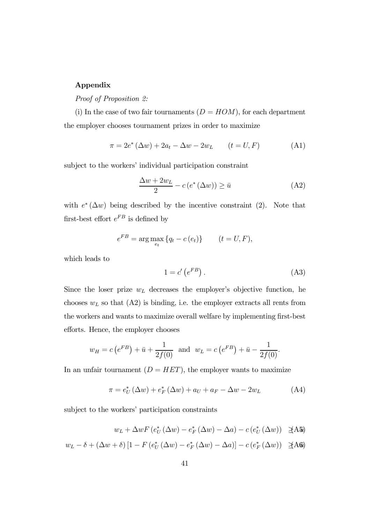### Appendix

Proof of Proposition 2:

(i) In the case of two fair tournaments  $(D = HOM)$ , for each department the employer chooses tournament prizes in order to maximize

$$
\pi = 2e^* (\Delta w) + 2a_t - \Delta w - 2w_L \qquad (t = U, F) \tag{A1}
$$

subject to the workers' individual participation constraint

$$
\frac{\Delta w + 2w_L}{2} - c(e^*(\Delta w)) \ge \bar{u}
$$
 (A2)

with  $e^*(\Delta w)$  being described by the incentive constraint (2). Note that first-best effort  $e^{FB}$  is defined by

$$
e^{FB} = \arg\max_{e_t} \{q_t - c(e_t)\} \qquad (t = U, F),
$$

which leads to

$$
1 = c' \left( e^{FB} \right). \tag{A3}
$$

Since the loser prize  $w_L$  decreases the employer's objective function, he chooses  $w<sub>L</sub>$  so that  $(A2)$  is binding, i.e. the employer extracts all rents from the workers and wants to maximize overall welfare by implementing first-best efforts. Hence, the employer chooses

$$
w_H = c(e^{FB}) + \bar{u} + \frac{1}{2f(0)}
$$
 and  $w_L = c(e^{FB}) + \bar{u} - \frac{1}{2f(0)}$ .

In an unfair tournament  $(D = HET)$ , the employer wants to maximize

$$
\pi = e_U^* (\Delta w) + e_F^* (\Delta w) + a_U + a_F - \Delta w - 2w_L \tag{A4}
$$

subject to the workers' participation constraints

$$
w_L + \Delta w F\left(e_U^*(\Delta w) - e_F^*(\Delta w) - \Delta a\right) - c\left(e_U^*(\Delta w)\right) \quad \text{A45}
$$

$$
w_L - \delta + (\Delta w + \delta) \left[ 1 - F \left( e_U^* \left( \Delta w \right) - e_F^* \left( \Delta w \right) - \Delta a \right) \right] - c \left( e_F^* \left( \Delta w \right) \right) \quad \text{A6a}
$$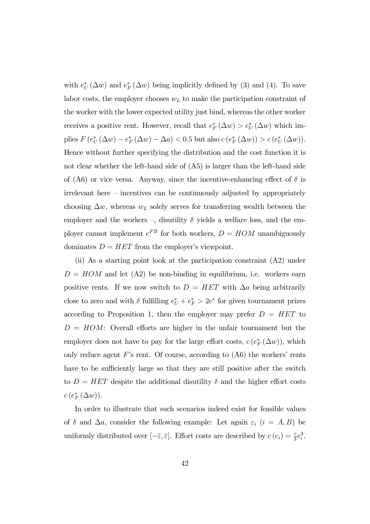with  $e^*_{U}(\Delta w)$  and  $e^*_{F}(\Delta w)$  being implicitly defined by (3) and (4). To save labor costs, the employer chooses  $w<sub>L</sub>$  to make the participation constraint of the worker with the lower expected utility just bind, whereas the other worker receives a positive rent. However, recall that  $e_F^* (\Delta w) > e_U^* (\Delta w)$  which implies  $F(e^*_{U}(\Delta w) - e^*_{F}(\Delta w) - \Delta a) < 0.5$  but also  $c(e^*_{F}(\Delta w)) > c(e^*_{U}(\Delta w))$ . Hence without further specifying the distribution and the cost function it is not clear whether the left-hand side of (A5) is larger than the left-hand side of (A6) or vice versa. Anyway, since the incentive-enhancing effect of  $\delta$  is irrelevant here — incentives can be continuously adjusted by appropriately choosing  $\Delta w$ , whereas  $w<sub>L</sub>$  solely serves for transferring wealth between the employer and the workers –, disutility  $\delta$  yields a welfare loss, and the employer cannot implement  $e^{FB}$  for both workers,  $D = HOM$  unambiguously dominates  $D = HET$  from the employer's viewpoint.

(ii) As a starting point look at the participation constraint (A2) under  $D = HOM$  and let  $(A2)$  be non-binding in equilibrium, i.e. workers earn positive rents. If we now switch to  $D = HET$  with  $\Delta a$  being arbitrarily close to zero and with  $\delta$  fulfilling  $e^*_{U} + e^*_{F} > 2e^*$  for given tournament prizes according to Proposition 1, then the employer may prefer  $D = HET$  to  $D = HOM:$  Overall efforts are higher in the unfair tournament but the employer does not have to pay for the large effort costs,  $c(e_F^*(\Delta w))$ , which only reduce agent  $F$ 's rent. Of course, according to  $(A6)$  the workers' rents have to be sufficiently large so that they are still positive after the switch to  $D = HET$  despite the additional disutility  $\delta$  and the higher effort costs  $c\left(e_F^*\left(\Delta w\right)\right)$ .

In order to illustrate that such scenarios indeed exist for feasible values of  $\delta$  and  $\Delta a$ , consider the following example: Let again  $\varepsilon_i$  (i = A, B) be uniformly distributed over  $[-\bar{\varepsilon}, \bar{\varepsilon}]$ . Effort costs are described by  $c(e_i) = \frac{c}{3}e_i^3$ .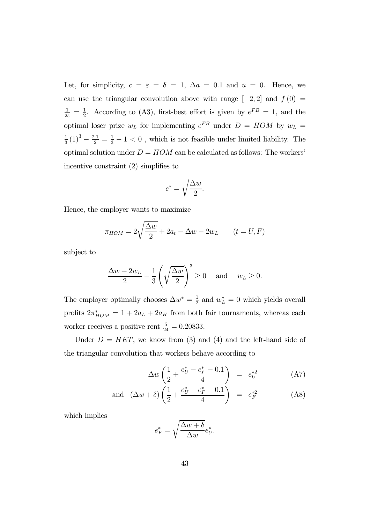Let, for simplicity,  $c = \bar{\varepsilon} = \delta = 1$ ,  $\Delta a = 0.1$  and  $\bar{u} = 0$ . Hence, we can use the triangular convolution above with range  $[-2, 2]$  and  $f(0) =$  $\frac{1}{2\bar{\varepsilon}} = \frac{1}{2}$ . According to (A3), first-best effort is given by  $e^{FB} = 1$ , and the optimal loser prize  $w_L$  for implementing  $e^{FB}$  under  $D = HOM$  by  $w_L =$  $\frac{1}{3}(1)^3 - \frac{2 \cdot 1}{2} = \frac{1}{3} - 1 < 0$ , which is not feasible under limited liability. The optimal solution under  $D = HOM$  can be calculated as follows: The workers' incentive constraint (2) simplifies to

$$
e^* = \sqrt{\frac{\Delta w}{2}}.
$$

Hence, the employer wants to maximize

$$
\pi_{HOM} = 2\sqrt{\frac{\Delta w}{2}} + 2a_t - \Delta w - 2w_L \qquad (t = U, F)
$$

subject to

$$
\frac{\Delta w + 2w_L}{2} - \frac{1}{3} \left( \sqrt{\frac{\Delta w}{2}} \right)^3 \ge 0 \quad \text{and} \quad w_L \ge 0.
$$

The employer optimally chooses  $\Delta w^* = \frac{1}{2}$  and  $w_L^* = 0$  which yields overall profits  $2\pi^*_{HOM} = 1 + 2a_L + 2a_H$  from both fair tournaments, whereas each worker receives a positive rent  $\frac{5}{24} = 0.20833$ .

Under  $D = HET$ , we know from (3) and (4) and the left-hand side of the triangular convolution that workers behave according to

$$
\Delta w \left( \frac{1}{2} + \frac{e_U^* - e_F^* - 0.1}{4} \right) = e_U^{*2} \tag{A7}
$$

and 
$$
(\Delta w + \delta) \left( \frac{1}{2} + \frac{e_U^* - e_F^* - 0.1}{4} \right) = e_F^{*2}
$$
 (A8)

which implies

$$
e_F^* = \sqrt{\frac{\Delta w + \delta}{\Delta w}} e_U^*.
$$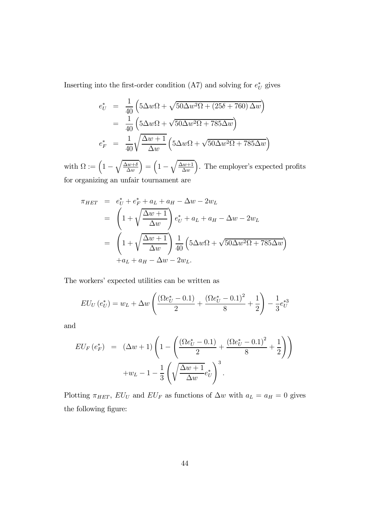Inserting into the first-order condition (A7) and solving for  $e^*$  gives

$$
e_U^* = \frac{1}{40} \left( 5\Delta w\Omega + \sqrt{50\Delta w^2\Omega + (25\delta + 760)\,\Delta w} \right)
$$
  
= 
$$
\frac{1}{40} \left( 5\Delta w\Omega + \sqrt{50\Delta w^2\Omega + 785\Delta w} \right)
$$
  

$$
e_F^* = \frac{1}{40} \sqrt{\frac{\Delta w + 1}{\Delta w}} \left( 5\Delta w\Omega + \sqrt{50\Delta w^2\Omega + 785\Delta w} \right)
$$

with  $\Omega := \left(1 - \sqrt{\frac{\Delta w + \delta}{\Delta w}}\right)$  $\Delta w$  $= \left(1 - \sqrt{\frac{\Delta w + 1}{\Delta w}}\right)$  $\Delta w$ ). The employer's expected profits for organizing an unfair tournament are

$$
\pi_{HET} = e_U^* + e_F^* + a_L + a_H - \Delta w - 2w_L
$$
\n
$$
= \left(1 + \sqrt{\frac{\Delta w + 1}{\Delta w}}\right) e_U^* + a_L + a_H - \Delta w - 2w_L
$$
\n
$$
= \left(1 + \sqrt{\frac{\Delta w + 1}{\Delta w}}\right) \frac{1}{40} \left(5\Delta w\Omega + \sqrt{50\Delta w^2\Omega + 785\Delta w}\right)
$$
\n
$$
+ a_L + a_H - \Delta w - 2w_L.
$$

The workers' expected utilities can be written as

$$
EU_U(e_U^*) = w_L + \Delta w \left( \frac{(\Omega e_U^* - 0.1)}{2} + \frac{(\Omega e_U^* - 0.1)^2}{8} + \frac{1}{2} \right) - \frac{1}{3} e_U^{*3}
$$

and

$$
EU_F(e_F^*) = (\Delta w + 1) \left( 1 - \left( \frac{(\Omega e_U^* - 0.1)}{2} + \frac{(\Omega e_U^* - 0.1)^2}{8} + \frac{1}{2} \right) \right) + w_L - 1 - \frac{1}{3} \left( \sqrt{\frac{\Delta w + 1}{\Delta w}} e_U^* \right)^3.
$$

Plotting  $\pi_{HET}$ ,  $EU_U$  and  $EU_F$  as functions of  $\Delta w$  with  $a_L = a_H = 0$  gives the following figure: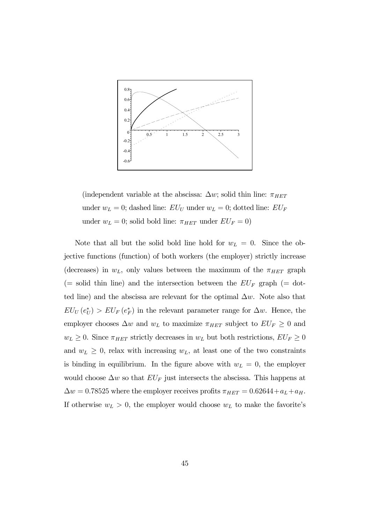

(independent variable at the abscissa:  $\Delta w$ ; solid thin line:  $\pi_{HET}$ under  $w_L = 0$ ; dashed line:  $EU_U$  under  $w_L = 0$ ; dotted line:  $EU_F$ under  $w_L = 0$ ; solid bold line:  $\pi_{HET}$  under  $EU_F = 0$ )

Note that all but the solid bold line hold for  $w_L = 0$ . Since the objective functions (function) of both workers (the employer) strictly increase (decreases) in  $w_L$ , only values between the maximum of the  $\pi_{HET}$  graph (= solid thin line) and the intersection between the  $EU_F$  graph (= dotted line) and the abscissa are relevant for the optimal  $\Delta w$ . Note also that  $EU_U(e^*_{U}) > EU_F(e^*_{F})$  in the relevant parameter range for  $\Delta w$ . Hence, the employer chooses  $\Delta w$  and  $w_L$  to maximize  $\pi_{HET}$  subject to  $EU_F \geq 0$  and  $w_L \geq 0$ . Since  $\pi_{HET}$  strictly decreases in  $w_L$  but both restrictions,  $EU_F \geq 0$ and  $w_L \geq 0$ , relax with increasing  $w_L$ , at least one of the two constraints is binding in equilibrium. In the figure above with  $w_L = 0$ , the employer would choose  $\Delta w$  so that  $EU_F$  just intersects the abscissa. This happens at  $\Delta w = 0.78525$  where the employer receives profits  $\pi_{HET} = 0.62644 + a_L + a_H$ . If otherwise  $w_L > 0$ , the employer would choose  $w_L$  to make the favorite's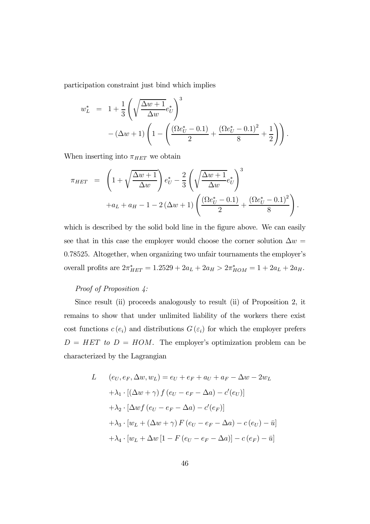participation constraint just bind which implies

$$
w_L^* = 1 + \frac{1}{3} \left( \sqrt{\frac{\Delta w + 1}{\Delta w}} e_U^* \right)^3 - (\Delta w + 1) \left( 1 - \left( \frac{(\Omega e_U^* - 0.1)}{2} + \frac{(\Omega e_U^* - 0.1)^2}{8} + \frac{1}{2} \right) \right).
$$

When inserting into  $\pi_{HET}$  we obtain

$$
\pi_{HET} = \left(1 + \sqrt{\frac{\Delta w + 1}{\Delta w}}\right) e_U^* - \frac{2}{3} \left(\sqrt{\frac{\Delta w + 1}{\Delta w}} e_U^*\right)^3 + a_L + a_H - 1 - 2(\Delta w + 1) \left(\frac{(\Omega e_U^* - 0.1)}{2} + \frac{(\Omega e_U^* - 0.1)^2}{8}\right).
$$

which is described by the solid bold line in the figure above. We can easily see that in this case the employer would choose the corner solution  $\Delta w =$ 0.78525. Altogether, when organizing two unfair tournaments the employer's overall profits are  $2\pi^*_{HET} = 1.2529 + 2a_L + 2a_H > 2\pi^*_{HOM} = 1 + 2a_L + 2a_H$ .

### Proof of Proposition  $4$ :

Since result (ii) proceeds analogously to result (ii) of Proposition 2, it remains to show that under unlimited liability of the workers there exist cost functions  $c(e_i)$  and distributions  $G(\varepsilon_i)$  for which the employer prefers  $D = HET$  to  $D = HOM$ . The employer's optimization problem can be characterized by the Lagrangian

L 
$$
(e_U, e_F, \Delta w, w_L) = e_U + e_F + a_U + a_F - \Delta w - 2w_L
$$
  
\n $+ \lambda_1 \cdot [(\Delta w + \gamma) f (e_U - e_F - \Delta a) - c'(e_U)]$   
\n $+ \lambda_2 \cdot [\Delta wf (e_U - e_F - \Delta a) - c'(e_F)]$   
\n $+ \lambda_3 \cdot [w_L + (\Delta w + \gamma) F (e_U - e_F - \Delta a) - c (e_U) - \bar{u}]$   
\n $+ \lambda_4 \cdot [w_L + \Delta w [1 - F (e_U - e_F - \Delta a)] - c (e_F) - \bar{u}]$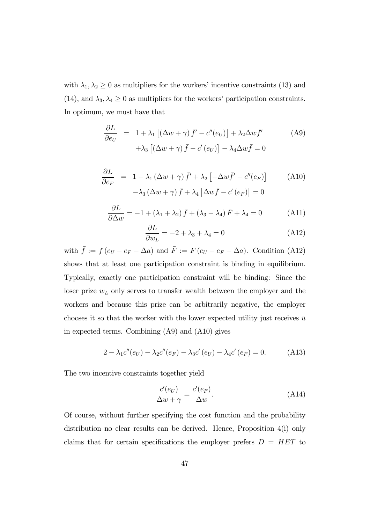with  $\lambda_1, \lambda_2 \geq 0$  as multipliers for the workers' incentive constraints (13) and (14), and  $\lambda_3, \lambda_4 \geq 0$  as multipliers for the workers' participation constraints. In optimum, we must have that

$$
\frac{\partial L}{\partial e_U} = 1 + \lambda_1 \left[ (\Delta w + \gamma) \bar{f}' - c''(e_U) \right] + \lambda_2 \Delta w \bar{f}'
$$
\n
$$
+ \lambda_3 \left[ (\Delta w + \gamma) \bar{f} - c'(e_U) \right] - \lambda_4 \Delta w \bar{f} = 0
$$
\n(A9)

$$
\frac{\partial L}{\partial e_F} = 1 - \lambda_1 (\Delta w + \gamma) \bar{f}' + \lambda_2 \left[ -\Delta w \bar{f}' - c''(e_F) \right]
$$
\n
$$
- \lambda_3 (\Delta w + \gamma) \bar{f} + \lambda_4 \left[ \Delta w \bar{f} - c'(e_F) \right] = 0
$$
\n(A10)

$$
\frac{\partial L}{\partial \Delta w} = -1 + (\lambda_1 + \lambda_2) \bar{f} + (\lambda_3 - \lambda_4) \bar{F} + \lambda_4 = 0 \tag{A11}
$$

$$
\frac{\partial L}{\partial w_L} = -2 + \lambda_3 + \lambda_4 = 0 \tag{A12}
$$

with  $\bar{f} := f(e_U - e_F - \Delta a)$  and  $\bar{F} := F(e_U - e_F - \Delta a)$ . Condition (A12) shows that at least one participation constraint is binding in equilibrium. Typically, exactly one participation constraint will be binding: Since the loser prize  $w<sub>L</sub>$  only serves to transfer wealth between the employer and the workers and because this prize can be arbitrarily negative, the employer chooses it so that the worker with the lower expected utility just receives  $\bar{u}$ in expected terms. Combining (A9) and (A10) gives

$$
2 - \lambda_1 c''(e_U) - \lambda_2 c''(e_F) - \lambda_3 c'(e_U) - \lambda_4 c'(e_F) = 0.
$$
 (A13)

The two incentive constraints together yield

$$
\frac{c'(e_U)}{\Delta w + \gamma} = \frac{c'(e_F)}{\Delta w}.\tag{A14}
$$

Of course, without further specifying the cost function and the probability distribution no clear results can be derived. Hence, Proposition 4(i) only claims that for certain specifications the employer prefers  $D = HET$  to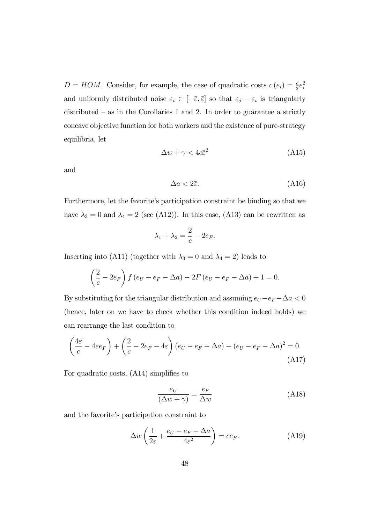$D = HOM$ . Consider, for example, the case of quadratic costs  $c(e_i) = \frac{c}{2}e_i^2$ and uniformly distributed noise  $\varepsilon_i \in [-\bar{\varepsilon}, \bar{\varepsilon}]$  so that  $\varepsilon_j - \varepsilon_i$  is triangularly distributed – as in the Corollaries 1 and 2. In order to guarantee a strictly concave objective function for both workers and the existence of pure-strategy equilibria, let

$$
\Delta w + \gamma < 4c\bar{\varepsilon}^2 \tag{A15}
$$

and

$$
\Delta a < 2\bar{\varepsilon}.\tag{A16}
$$

Furthermore, let the favorite's participation constraint be binding so that we have  $\lambda_3 = 0$  and  $\lambda_4 = 2$  (see (A12)). In this case, (A13) can be rewritten as

$$
\lambda_1 + \lambda_2 = \frac{2}{c} - 2e_F.
$$

Inserting into (A11) (together with  $\lambda_3 = 0$  and  $\lambda_4 = 2$ ) leads to

$$
\left(\frac{2}{c} - 2e_F\right) f(e_U - e_F - \Delta a) - 2F(e_U - e_F - \Delta a) + 1 = 0.
$$

By substituting for the triangular distribution and assuming  $e_U-e_F-\Delta a < 0$ (hence, later on we have to check whether this condition indeed holds) we can rearrange the last condition to

$$
\left(\frac{4\bar{\varepsilon}}{c} - 4\bar{\varepsilon}e_F\right) + \left(\frac{2}{c} - 2e_F - 4\varepsilon\right)(e_U - e_F - \Delta a) - (e_U - e_F - \Delta a)^2 = 0.
$$
\n(A17)

For quadratic costs, (A14) simplifies to

$$
\frac{e_U}{(\Delta w + \gamma)} = \frac{e_F}{\Delta w} \tag{A18}
$$

and the favorite's participation constraint to

$$
\Delta w \left( \frac{1}{2\bar{\varepsilon}} + \frac{e_U - e_F - \Delta a}{4\bar{\varepsilon}^2} \right) = c e_F. \tag{A19}
$$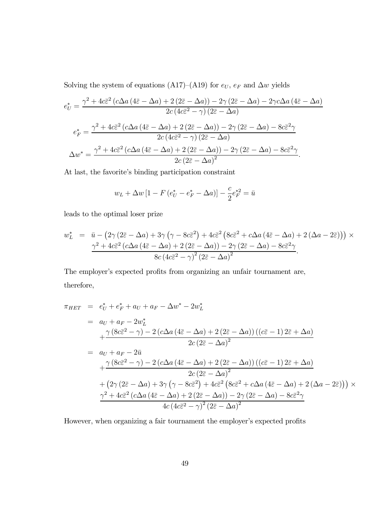Solving the system of equations (A17)–(A19) for  $e_U$ ,  $e_F$  and  $\Delta w$  yields

$$
e_{U}^{*} = \frac{\gamma^{2} + 4c\bar{\varepsilon}^{2} \left(c\Delta a \left(4\bar{\varepsilon} - \Delta a\right) + 2\left(2\bar{\varepsilon} - \Delta a\right)\right) - 2\gamma \left(2\bar{\varepsilon} - \Delta a\right) - 2\gamma c\Delta a \left(4\bar{\varepsilon} - \Delta a\right)}{2c \left(4c\bar{\varepsilon}^{2} - \gamma\right)\left(2\bar{\varepsilon} - \Delta a\right)}
$$

$$
e_{F}^{*} = \frac{\gamma^{2} + 4c\bar{\varepsilon}^{2} \left(c\Delta a \left(4\bar{\varepsilon} - \Delta a\right) + 2\left(2\bar{\varepsilon} - \Delta a\right)\right) - 2\gamma \left(2\bar{\varepsilon} - \Delta a\right) - 8c\bar{\varepsilon}^{2}\gamma}{2c \left(4c\bar{\varepsilon}^{2} - \gamma\right)\left(2\bar{\varepsilon} - \Delta a\right)}
$$

$$
\Delta w^{*} = \frac{\gamma^{2} + 4c\bar{\varepsilon}^{2} \left(c\Delta a \left(4\bar{\varepsilon} - \Delta a\right) + 2\left(2\bar{\varepsilon} - \Delta a\right)\right) - 2\gamma \left(2\bar{\varepsilon} - \Delta a\right) - 8c\bar{\varepsilon}^{2}\gamma}{2c \left(2\bar{\varepsilon} - \Delta a\right)^{2}}.
$$

At last, the favorite's binding participation constraint

$$
w_L + \Delta w \left[ 1 - F \left( e_U^* - e_F^* - \Delta a \right) \right] - \frac{c}{2} e_F^{*2} = \bar{u}
$$

leads to the optimal loser prize

$$
w_L^* = \bar{u} - (2\gamma (2\bar{\varepsilon} - \Delta a) + 3\gamma (\gamma - 8c\bar{\varepsilon}^2) + 4c\bar{\varepsilon}^2 (8c\bar{\varepsilon}^2 + c\Delta a (4\bar{\varepsilon} - \Delta a) + 2 (\Delta a - 2\bar{\varepsilon})) \times \frac{\gamma^2 + 4c\bar{\varepsilon}^2 (c\Delta a (4\bar{\varepsilon} - \Delta a) + 2 (2\bar{\varepsilon} - \Delta a)) - 2\gamma (2\bar{\varepsilon} - \Delta a) - 8c\bar{\varepsilon}^2 \gamma}{8c (4c\bar{\varepsilon}^2 - \gamma)^2 (2\bar{\varepsilon} - \Delta a)^2}.
$$

The employer's expected profits from organizing an unfair tournament are, therefore,

$$
\pi_{HET} = e_U^* + e_F^* + a_U + a_F - \Delta w^* - 2w_L^*
$$
\n
$$
= a_U + a_F - 2w_L^*
$$
\n
$$
+ \frac{\gamma (8c\bar{\varepsilon}^2 - \gamma) - 2(c\Delta a (4\bar{\varepsilon} - \Delta a) + 2(2\bar{\varepsilon} - \Delta a)) ((c\bar{\varepsilon} - 1) 2\bar{\varepsilon} + \Delta a)}{2c (2\bar{\varepsilon} - \Delta a)^2}
$$
\n
$$
= a_U + a_F - 2\bar{u}
$$
\n
$$
+ \frac{\gamma (8c\bar{\varepsilon}^2 - \gamma) - 2(c\Delta a (4\bar{\varepsilon} - \Delta a) + 2(2\bar{\varepsilon} - \Delta a)) ((c\bar{\varepsilon} - 1) 2\bar{\varepsilon} + \Delta a)}{2c (2\bar{\varepsilon} - \Delta a)^2}
$$
\n
$$
+ (2\gamma (2\bar{\varepsilon} - \Delta a) + 3\gamma (\gamma - 8c\bar{\varepsilon}^2) + 4c\bar{\varepsilon}^2 (8c\bar{\varepsilon}^2 + c\Delta a (4\bar{\varepsilon} - \Delta a) + 2(\Delta a - 2\bar{\varepsilon}))) \times
$$
\n
$$
\frac{\gamma^2 + 4c\bar{\varepsilon}^2 (c\Delta a (4\bar{\varepsilon} - \Delta a) + 2(2\bar{\varepsilon} - \Delta a)) - 2\gamma (2\bar{\varepsilon} - \Delta a) - 8c\bar{\varepsilon}^2 \gamma}{4c (4c\bar{\varepsilon}^2 - \gamma)^2 (2\bar{\varepsilon} - \Delta a)^2}
$$

However, when organizing a fair tournament the employer's expected profits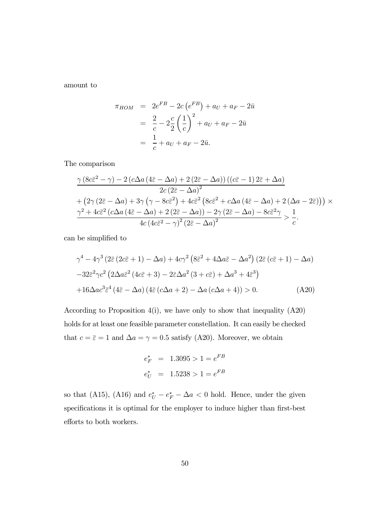amount to

$$
\pi_{HOM} = 2e^{FB} - 2c(e^{FB}) + a_U + a_F - 2\bar{u}
$$
  
=  $\frac{2}{c} - 2\frac{c}{2} \left(\frac{1}{c}\right)^2 + a_U + a_F - 2\bar{u}$   
=  $\frac{1}{c} + a_U + a_F - 2\bar{u}$ .

The comparison

$$
\frac{\gamma \left(8c\bar{\varepsilon}^{2}-\gamma\right)-2\left(c\Delta a\left(4\bar{\varepsilon}-\Delta a\right)+2\left(2\bar{\varepsilon}-\Delta a\right)\right)\left(\left(c\bar{\varepsilon}-1\right)2\bar{\varepsilon}+\Delta a\right)}{2c\left(2\bar{\varepsilon}-\Delta a\right)^{2}}+\left(2\gamma\left(2\bar{\varepsilon}-\Delta a\right)+3\gamma\left(\gamma-8c\bar{\varepsilon}^{2}\right)+4c\bar{\varepsilon}^{2}\left(8c\bar{\varepsilon}^{2}+c\Delta a\left(4\bar{\varepsilon}-\Delta a\right)+2\left(\Delta a-2\bar{\varepsilon}\right)\right)\right)\times\frac{\gamma^{2}+4c\bar{\varepsilon}^{2}\left(c\Delta a\left(4\bar{\varepsilon}-\Delta a\right)+2\left(2\bar{\varepsilon}-\Delta a\right)\right)-2\gamma\left(2\bar{\varepsilon}-\Delta a\right)-8c\bar{\varepsilon}^{2}\gamma}{4c\left(4c\bar{\varepsilon}^{2}-\gamma\right)^{2}\left(2\bar{\varepsilon}-\Delta a\right)^{2}}>\frac{1}{c}.
$$

can be simplified to

$$
\gamma^4 - 4\gamma^3 \left(2\bar{\varepsilon} \left(2c\bar{\varepsilon} + 1\right) - \Delta a\right) + 4c\gamma^2 \left(8\bar{\varepsilon}^2 + 4\Delta a\bar{\varepsilon} - \Delta a^2\right) \left(2\bar{\varepsilon} \left(c\bar{\varepsilon} + 1\right) - \Delta a\right) - 32\bar{\varepsilon}^2 \gamma c^2 \left(2\Delta a\bar{\varepsilon}^2 \left(4c\bar{\varepsilon} + 3\right) - 2\bar{\varepsilon}\Delta a^2 \left(3 + c\bar{\varepsilon}\right) + \Delta a^3 + 4\bar{\varepsilon}^3\right) + 16\Delta a c^3 \bar{\varepsilon}^4 \left(4\bar{\varepsilon} - \Delta a\right) \left(4\bar{\varepsilon} \left(c\Delta a + 2\right) - \Delta a \left(c\Delta a + 4\right)\right) > 0.
$$
 (A20)

According to Proposition  $4(i)$ , we have only to show that inequality  $(A20)$ holds for at least one feasible parameter constellation. It can easily be checked that  $c = \bar{\varepsilon} = 1$  and  $\Delta a = \gamma = 0.5$  satisfy (A20). Moreover, we obtain

$$
e_F^* = 1.3095 > 1 = e^{FB}
$$

$$
e_U^* = 1.5238 > 1 = e^{FB}
$$

so that (A15), (A16) and  $e^*_{U} - e^*_{F} - \Delta a < 0$  hold. Hence, under the given specifications it is optimal for the employer to induce higher than first-best efforts to both workers.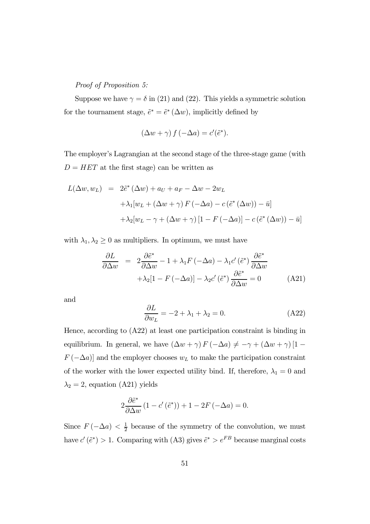Proof of Proposition 5:

Suppose we have  $\gamma = \delta$  in (21) and (22). This yields a symmetric solution for the tournament stage,  $\tilde{e}^* = \tilde{e}^* (\Delta w)$ , implicitly defined by

$$
(\Delta w + \gamma) f(-\Delta a) = c'(\tilde{e}^*).
$$

The employer's Lagrangian at the second stage of the three-stage game (with  $D = HET$  at the first stage) can be written as

$$
L(\Delta w, w_L) = 2\tilde{e}^*(\Delta w) + a_U + a_F - \Delta w - 2w_L
$$
  
+  $\lambda_1[w_L + (\Delta w + \gamma) F(-\Delta a) - c(\tilde{e}^*(\Delta w)) - \bar{u}]$   
+  $\lambda_2[w_L - \gamma + (\Delta w + \gamma) [1 - F(-\Delta a)] - c(\tilde{e}^*(\Delta w)) - \bar{u}]$ 

with  $\lambda_1, \lambda_2 \geq 0$  as multipliers. In optimum, we must have

$$
\frac{\partial L}{\partial \Delta w} = 2 \frac{\partial \tilde{e}^*}{\partial \Delta w} - 1 + \lambda_1 F \left( -\Delta a \right) - \lambda_1 c' \left( \tilde{e}^* \right) \frac{\partial \tilde{e}^*}{\partial \Delta w} \n+ \lambda_2 [1 - F \left( -\Delta a \right)] - \lambda_2 c' \left( \tilde{e}^* \right) \frac{\partial \tilde{e}^*}{\partial \Delta w} = 0
$$
\n(A21)

and

$$
\frac{\partial L}{\partial w_L} = -2 + \lambda_1 + \lambda_2 = 0.
$$
 (A22)

Hence, according to (A22) at least one participation constraint is binding in equilibrium. In general, we have  $(\Delta w + \gamma) F (-\Delta a) \neq -\gamma + (\Delta w + \gamma) [1 F(-\Delta a)$  and the employer chooses  $w<sub>L</sub>$  to make the participation constraint of the worker with the lower expected utility bind. If, therefore,  $\lambda_1 = 0$  and  $\lambda_2 = 2$ , equation (A21) yields

$$
2\frac{\partial \tilde{e}^*}{\partial \Delta w} \left(1 - c'(\tilde{e}^*)\right) + 1 - 2F\left(-\Delta a\right) = 0.
$$

Since  $F(-\Delta a) < \frac{1}{2}$  because of the symmetry of the convolution, we must have  $c'(\tilde{e}^*) > 1$ . Comparing with (A3) gives  $\tilde{e}^* > e^{FB}$  because marginal costs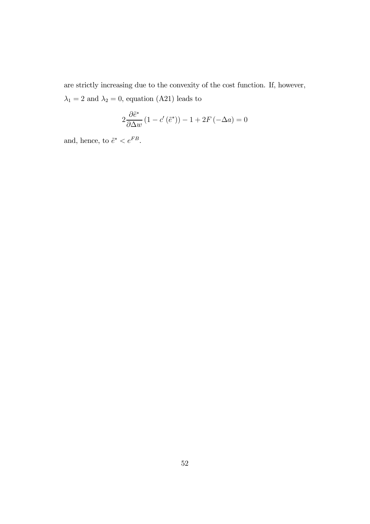are strictly increasing due to the convexity of the cost function. If, however,  $\lambda_1=2$  and  $\lambda_2=0,$  equation (A21) leads to

$$
2\frac{\partial \tilde{e}^*}{\partial \Delta w} \left(1 - c' \left(\tilde{e}^*\right)\right) - 1 + 2F\left(-\Delta a\right) = 0
$$

and, hence, to  $\tilde{e}^* < e^{FB}.$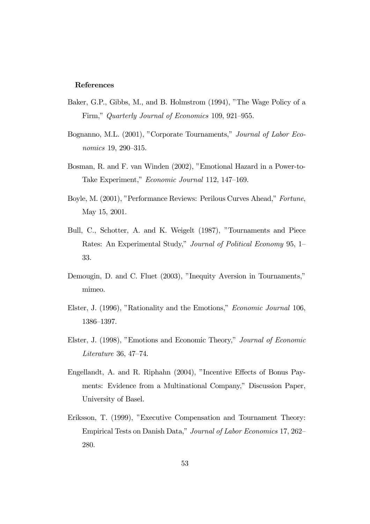#### References

- Baker, G.P., Gibbs, M., and B. Holmstrom (1994), "The Wage Policy of a Firm," Quarterly Journal of Economics 109, 921—955.
- Bognanno, M.L. (2001), "Corporate Tournaments," Journal of Labor Economics 19, 290—315.
- Bosman, R. and F. van Winden (2002), "Emotional Hazard in a Power-to-Take Experiment," Economic Journal 112, 147—169.
- Boyle, M. (2001), "Performance Reviews: Perilous Curves Ahead," Fortune, May 15, 2001.
- Bull, C., Schotter, A. and K. Weigelt (1987), "Tournaments and Piece Rates: An Experimental Study," Journal of Political Economy 95, 1— 33.
- Demougin, D. and C. Fluet (2003), "Inequity Aversion in Tournaments," mimeo.
- Elster, J. (1996), "Rationality and the Emotions," Economic Journal 106, 1386—1397.
- Elster, J. (1998), "Emotions and Economic Theory," Journal of Economic Literature 36, 47—74.
- Engellandt, A. and R. Riphahn (2004), "Incentive Effects of Bonus Payments: Evidence from a Multinational Company," Discussion Paper, University of Basel.
- Eriksson, T. (1999), "Executive Compensation and Tournament Theory: Empirical Tests on Danish Data," Journal of Labor Economics 17, 262— 280.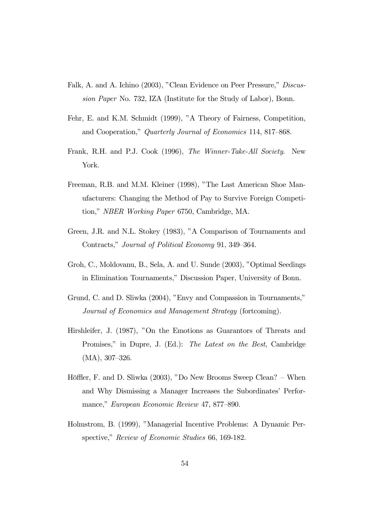- Falk, A. and A. Ichino (2003), "Clean Evidence on Peer Pressure," Discussion Paper No. 732, IZA (Institute for the Study of Labor), Bonn.
- Fehr, E. and K.M. Schmidt (1999), "A Theory of Fairness, Competition, and Cooperation," Quarterly Journal of Economics 114, 817—868.
- Frank, R.H. and P.J. Cook (1996), The Winner-Take-All Society. New York.
- Freeman, R.B. and M.M. Kleiner (1998), "The Last American Shoe Manufacturers: Changing the Method of Pay to Survive Foreign Competition," NBER Working Paper 6750, Cambridge, MA.
- Green, J.R. and N.L. Stokey (1983), "A Comparison of Tournaments and Contracts," Journal of Political Economy 91, 349—364.
- Groh, C., Moldovanu, B., Sela, A. and U. Sunde (2003), "Optimal Seedings in Elimination Tournaments," Discussion Paper, University of Bonn.
- Grund, C. and D. Sliwka (2004), "Envy and Compassion in Tournaments," Journal of Economics and Management Strategy (fortcoming).
- Hirshleifer, J. (1987), "On the Emotions as Guarantors of Threats and Promises," in Dupre, J. (Ed.): The Latest on the Best, Cambridge (MA), 307—326.
- Höffler, F. and D. Sliwka (2003), "Do New Brooms Sweep Clean? When and Why Dismissing a Manager Increases the Subordinates' Performance," European Economic Review 47, 877—890.
- Holmstrom, B. (1999), "Managerial Incentive Problems: A Dynamic Perspective," Review of Economic Studies 66, 169-182.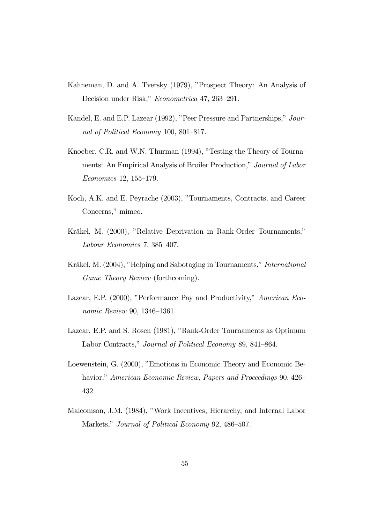- Kahneman, D. and A. Tversky (1979), "Prospect Theory: An Analysis of Decision under Risk," Econometrica 47, 263—291.
- Kandel, E. and E.P. Lazear (1992), "Peer Pressure and Partnerships," Journal of Political Economy 100, 801—817.
- Knoeber, C.R. and W.N. Thurman (1994), "Testing the Theory of Tournaments: An Empirical Analysis of Broiler Production," Journal of Labor Economics 12, 155—179.
- Koch, A.K. and E. Peyrache (2003), "Tournaments, Contracts, and Career Concerns," mimeo.
- Kräkel, M. (2000), "Relative Deprivation in Rank-Order Tournaments," Labour Economics 7, 385—407.
- Kräkel, M. (2004), "Helping and Sabotaging in Tournaments," International Game Theory Review (forthcoming).
- Lazear, E.P. (2000), "Performance Pay and Productivity," American Economic Review 90, 1346—1361.
- Lazear, E.P. and S. Rosen (1981), "Rank-Order Tournaments as Optimum Labor Contracts," Journal of Political Economy 89, 841—864.
- Loewenstein, G. (2000), "Emotions in Economic Theory and Economic Behavior," American Economic Review, Papers and Proceedings 90, 426– 432.
- Malcomson, J.M. (1984), "Work Incentives, Hierarchy, and Internal Labor Markets," *Journal of Political Economy* 92, 486–507.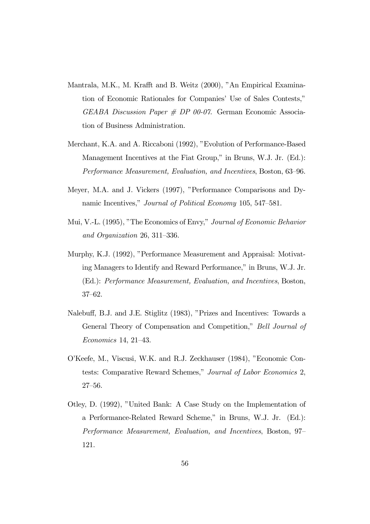- Mantrala, M.K., M. Krafft and B. Weitz (2000), "An Empirical Examination of Economic Rationales for Companies' Use of Sales Contests,"  $GEABA\; Discussion\;Paper\; {\#} \;DP\;00-07.$  German Economic Association of Business Administration.
- Merchant, K.A. and A. Riccaboni (1992), "Evolution of Performance-Based Management Incentives at the Fiat Group," in Bruns, W.J. Jr. (Ed.): Performance Measurement, Evaluation, and Incentives, Boston, 63—96.
- Meyer, M.A. and J. Vickers (1997), "Performance Comparisons and Dynamic Incentives," Journal of Political Economy 105, 547—581.
- Mui, V.-L. (1995), "The Economics of Envy," Journal of Economic Behavior and Organization 26, 311—336.
- Murphy, K.J. (1992), "Performance Measurement and Appraisal: Motivating Managers to Identify and Reward Performance," in Bruns, W.J. Jr. (Ed.): Performance Measurement, Evaluation, and Incentives, Boston, 37—62.
- Nalebuff, B.J. and J.E. Stiglitz (1983), "Prizes and Incentives: Towards a General Theory of Compensation and Competition," Bell Journal of Economics 14, 21—43.
- O'Keefe, M., Viscusi, W.K. and R.J. Zeckhauser (1984), "Economic Contests: Comparative Reward Schemes," Journal of Labor Economics 2, 27—56.
- Otley, D. (1992), "United Bank: A Case Study on the Implementation of a Performance-Related Reward Scheme," in Bruns, W.J. Jr. (Ed.): Performance Measurement, Evaluation, and Incentives, Boston, 97— 121.